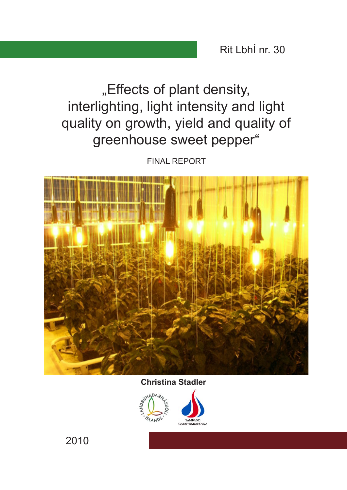Rit LbhÍ nr. 30

"Effects of plant density, interlighting, light intensity and light quality on growth, yield and quality of greenhouse sweet pepper"

FINAL REPORT



**Christina Stadler**



2010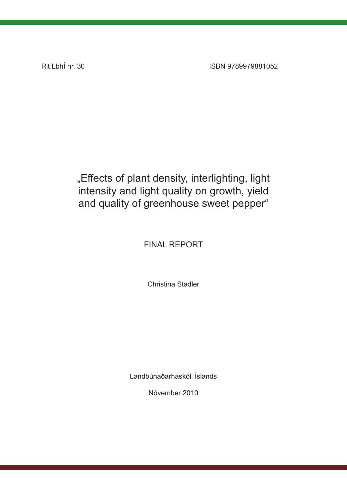Rit LbhÍ nr. 30 ISBN 9789979881052

## "Effects of plant density, interlighting, light intensity and light quality on growth, yield and quality of greenhouse sweet pepper"

## FINAL REPORT

Christina Stadler

Landbúnaðarháskóli Íslands

Nóvember 2010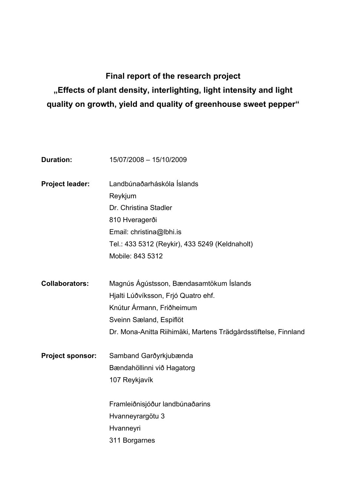# **Final report of the research project "Effects of plant density, interlighting, light intensity and light quality on growth, yield and quality of greenhouse sweet pepper"**

| <b>Duration:</b>        | 15/07/2008 - 15/10/2009                                         |
|-------------------------|-----------------------------------------------------------------|
| Project leader:         | Landbúnaðarháskóla Íslands                                      |
|                         | Reykjum                                                         |
|                         | Dr. Christina Stadler                                           |
|                         | 810 Hveragerði                                                  |
|                         | Email: christina@lbhi.is                                        |
|                         | Tel.: 433 5312 (Reykir), 433 5249 (Keldnaholt)                  |
|                         | Mobile: 843 5312                                                |
| <b>Collaborators:</b>   | Magnús Ágústsson, Bændasamtökum Íslands                         |
|                         | Hjalti Lúðvíksson, Frjó Quatro ehf.                             |
|                         | Knútur Ármann, Friðheimum                                       |
|                         | Sveinn Sæland, Espiflöt                                         |
|                         | Dr. Mona-Anitta Riihimäki, Martens Trädgårdsstiftelse, Finnland |
| <b>Project sponsor:</b> | Samband Garðyrkjubænda                                          |
|                         | Bændahöllinni við Hagatorg                                      |
|                         | 107 Reykjavík                                                   |
|                         | Framleiðnisjóður landbúnaðarins                                 |
|                         | Hvanneyrargötu 3                                                |
|                         | Hvanneyri                                                       |
|                         | 311 Borgarnes                                                   |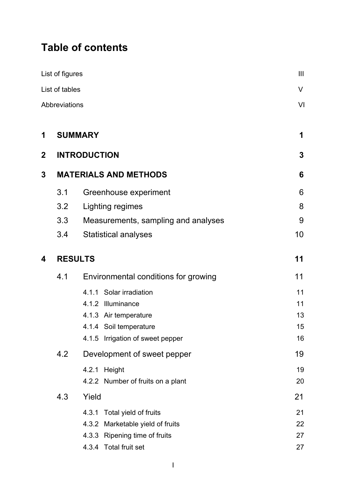# **Table of contents**

|             | List of figures      |                                      | $\mathbf{III}$ |
|-------------|----------------------|--------------------------------------|----------------|
|             | List of tables       |                                      | V              |
|             | <b>Abbreviations</b> |                                      | VI             |
|             |                      |                                      |                |
| 1           |                      | <b>SUMMARY</b>                       | 1              |
| $\mathbf 2$ |                      | <b>INTRODUCTION</b>                  | 3              |
| 3           |                      | <b>MATERIALS AND METHODS</b>         | 6              |
|             | 3.1                  | Greenhouse experiment                | 6              |
|             | 3.2                  | Lighting regimes                     | 8              |
|             | 3.3                  | Measurements, sampling and analyses  | 9              |
|             | 3.4                  | <b>Statistical analyses</b>          | 10             |
| 4           |                      | <b>RESULTS</b>                       | 11             |
|             | 4.1                  | Environmental conditions for growing | 11             |
|             |                      | 4.1.1 Solar irradiation              | 11             |
|             |                      | 4.1.2 Illuminance                    | 11             |
|             |                      | 4.1.3 Air temperature                | 13             |
|             |                      | 4.1.4 Soil temperature               | 15             |
|             |                      | 4.1.5 Irrigation of sweet pepper     | 16             |
|             | 4.2                  | Development of sweet pepper          | 19             |
|             |                      | 4.2.1 Height                         | 19             |
|             |                      | 4.2.2 Number of fruits on a plant    | 20             |
|             | 4.3                  | Yield                                | 21             |
|             |                      | Total yield of fruits<br>4.3.1       | 21             |
|             |                      | 4.3.2<br>Marketable yield of fruits  | 22             |
|             |                      | 4.3.3 Ripening time of fruits        | 27             |
|             |                      | 4.3.4 Total fruit set                | 27             |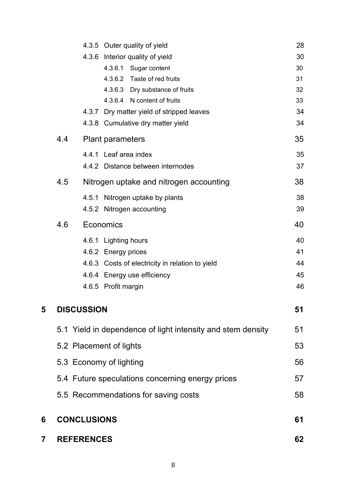|   |                    |       | 4.3.5 Outer quality of yield                                   | 28       |
|---|--------------------|-------|----------------------------------------------------------------|----------|
|   |                    |       | 4.3.6 Interior quality of yield                                | 30       |
|   |                    |       | 4.3.6.1 Sugar content                                          | 30       |
|   |                    |       | 4.3.6.2 Taste of red fruits                                    | 31       |
|   |                    |       | 4.3.6.3 Dry substance of fruits<br>4.3.6.4 N content of fruits | 32<br>33 |
|   |                    |       | 4.3.7 Dry matter yield of stripped leaves                      | 34       |
|   |                    |       | 4.3.8 Cumulative dry matter yield                              | 34       |
|   | 4.4                |       | <b>Plant parameters</b>                                        | 35       |
|   |                    |       | 4.4.1 Leaf area index                                          | 35       |
|   |                    |       | 4.4.2 Distance between internodes                              | 37       |
|   |                    |       |                                                                |          |
|   | 4.5                |       | Nitrogen uptake and nitrogen accounting                        | 38       |
|   |                    | 4.5.1 | Nitrogen uptake by plants                                      | 38       |
|   |                    |       | 4.5.2 Nitrogen accounting                                      | 39       |
|   | 4.6                |       | Economics                                                      | 40       |
|   |                    |       | 4.6.1 Lighting hours                                           | 40       |
|   |                    |       | 4.6.2 Energy prices                                            | 41       |
|   |                    |       | 4.6.3 Costs of electricity in relation to yield                | 44       |
|   |                    |       | 4.6.4 Energy use efficiency                                    | 45       |
|   |                    |       | 4.6.5 Profit margin                                            | 46       |
| 5 | <b>DISCUSSION</b>  |       |                                                                | 51       |
|   |                    |       | 5.1 Yield in dependence of light intensity and stem density    | 51       |
|   |                    |       | 5.2 Placement of lights                                        | 53       |
|   |                    |       | 5.3 Economy of lighting                                        | 56       |
|   |                    |       | 5.4 Future speculations concerning energy prices               | 57       |
|   |                    |       | 5.5 Recommendations for saving costs                           | 58       |
| 6 | <b>CONCLUSIONS</b> |       |                                                                | 61       |
|   |                    |       |                                                                |          |
| 7 | <b>REFERENCES</b>  |       |                                                                | 62       |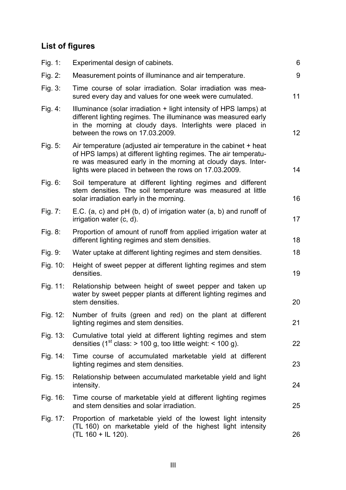# **List of figures**

| Fig. 1:     | Experimental design of cabinets.                                                                                                                                                                                                                           | 6               |
|-------------|------------------------------------------------------------------------------------------------------------------------------------------------------------------------------------------------------------------------------------------------------------|-----------------|
| Fig. $2:$   | Measurement points of illuminance and air temperature.                                                                                                                                                                                                     | 9               |
| Fig. 3:     | Time course of solar irradiation. Solar irradiation was mea-<br>sured every day and values for one week were cumulated.                                                                                                                                    | 11              |
| Fig. 4:     | Illuminance (solar irradiation + light intensity of HPS lamps) at<br>different lighting regimes. The illuminance was measured early<br>in the morning at cloudy days. Interlights were placed in<br>between the rows on 17.03.2009.                        | 12 <sup>2</sup> |
| Fig. $5:$   | Air temperature (adjusted air temperature in the cabinet + heat<br>of HPS lamps) at different lighting regimes. The air temperatu-<br>re was measured early in the morning at cloudy days. Inter-<br>lights were placed in between the rows on 17.03.2009. | 14              |
| Fig. 6:     | Soil temperature at different lighting regimes and different<br>stem densities. The soil temperature was measured at little<br>solar irradiation early in the morning.                                                                                     | 16              |
| Fig. 7:     | E.C. (a, c) and $pH$ (b, d) of irrigation water (a, b) and runoff of<br>irrigation water (c, d).                                                                                                                                                           | 17              |
| Fig. 8:     | Proportion of amount of runoff from applied irrigation water at<br>different lighting regimes and stem densities.                                                                                                                                          | 18              |
| Fig. 9:     | Water uptake at different lighting regimes and stem densities.                                                                                                                                                                                             | 18              |
| Fig. 10:    | Height of sweet pepper at different lighting regimes and stem<br>densities.                                                                                                                                                                                | 19              |
| Fig. 11:    | Relationship between height of sweet pepper and taken up<br>water by sweet pepper plants at different lighting regimes and<br>stem densities.                                                                                                              | 20              |
| Fig. 12:    | Number of fruits (green and red) on the plant at different<br>lighting regimes and stem densities.                                                                                                                                                         | 21              |
| Fig. $13:$  | Cumulative total yield at different lighting regimes and stem<br>densities (1 <sup>st</sup> class: $> 100$ g, too little weight: $< 100$ g).                                                                                                               | 22              |
| Fig. 14:    | Time course of accumulated marketable yield at different<br>lighting regimes and stem densities.                                                                                                                                                           | 23              |
| Fig. $15$ : | Relationship between accumulated marketable yield and light<br>intensity.                                                                                                                                                                                  | 24              |
| Fig. 16:    | Time course of marketable yield at different lighting regimes<br>and stem densities and solar irradiation.                                                                                                                                                 | 25              |
| Fig. 17:    | Proportion of marketable yield of the lowest light intensity<br>(TL 160) on marketable yield of the highest light intensity<br>(TL 160 + IL 120).                                                                                                          | 26              |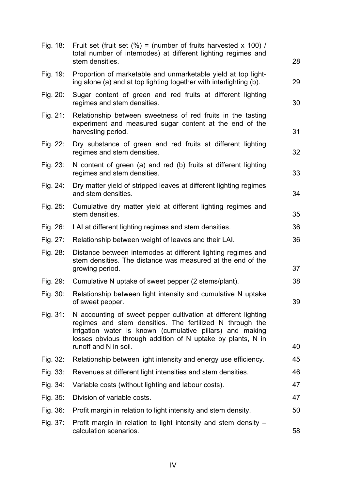| Fig. 18:    | Fruit set (fruit set $(\%)$ = (number of fruits harvested x 100) /<br>total number of internodes) at different lighting regimes and<br>stem densities.                                                                                                                          | 28 |
|-------------|---------------------------------------------------------------------------------------------------------------------------------------------------------------------------------------------------------------------------------------------------------------------------------|----|
| Fig. 19:    | Proportion of marketable and unmarketable yield at top light-<br>ing alone (a) and at top lighting together with interlighting (b).                                                                                                                                             | 29 |
| Fig. 20:    | Sugar content of green and red fruits at different lighting<br>regimes and stem densities.                                                                                                                                                                                      | 30 |
| Fig. 21:    | Relationship between sweetness of red fruits in the tasting<br>experiment and measured sugar content at the end of the<br>harvesting period.                                                                                                                                    | 31 |
| Fig. 22:    | Dry substance of green and red fruits at different lighting<br>regimes and stem densities.                                                                                                                                                                                      | 32 |
| Fig. 23:    | N content of green (a) and red (b) fruits at different lighting<br>regimes and stem densities.                                                                                                                                                                                  | 33 |
| Fig. 24:    | Dry matter yield of stripped leaves at different lighting regimes<br>and stem densities.                                                                                                                                                                                        | 34 |
| Fig. 25:    | Cumulative dry matter yield at different lighting regimes and<br>stem densities.                                                                                                                                                                                                | 35 |
| Fig. $26$ : | LAI at different lighting regimes and stem densities.                                                                                                                                                                                                                           | 36 |
| Fig. 27:    | Relationship between weight of leaves and their LAI.                                                                                                                                                                                                                            | 36 |
| Fig. 28:    | Distance between internodes at different lighting regimes and<br>stem densities. The distance was measured at the end of the<br>growing period.                                                                                                                                 | 37 |
| Fig. 29:    | Cumulative N uptake of sweet pepper (2 stems/plant).                                                                                                                                                                                                                            | 38 |
| Fig. 30:    | Relationship between light intensity and cumulative N uptake<br>of sweet pepper.                                                                                                                                                                                                | 39 |
| Fig. 31:    | N accounting of sweet pepper cultivation at different lighting<br>regimes and stem densities. The fertilized N through the<br>irrigation water is known (cumulative pillars) and making<br>losses obvious through addition of N uptake by plants, N in<br>runoff and N in soil. | 40 |
| Fig. 32:    | Relationship between light intensity and energy use efficiency.                                                                                                                                                                                                                 | 45 |
| Fig. 33:    | Revenues at different light intensities and stem densities.                                                                                                                                                                                                                     | 46 |
| Fig. 34:    | Variable costs (without lighting and labour costs).                                                                                                                                                                                                                             | 47 |
| Fig. 35:    | Division of variable costs.                                                                                                                                                                                                                                                     | 47 |
| Fig. 36:    | Profit margin in relation to light intensity and stem density.                                                                                                                                                                                                                  | 50 |
| Fig. 37:    | Profit margin in relation to light intensity and stem density -                                                                                                                                                                                                                 |    |
|             | calculation scenarios.                                                                                                                                                                                                                                                          | 58 |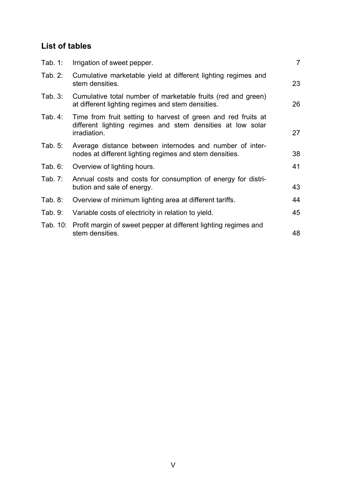## **List of tables**

| Tab. $1:$ | Irrigation of sweet pepper.                                                                                                                 | $\overline{7}$ |
|-----------|---------------------------------------------------------------------------------------------------------------------------------------------|----------------|
| Tab. 2:   | Cumulative marketable yield at different lighting regimes and<br>stem densities.                                                            | 23             |
| Tab. $3:$ | Cumulative total number of marketable fruits (red and green)<br>at different lighting regimes and stem densities.                           | 26             |
| Tab. $4:$ | Time from fruit setting to harvest of green and red fruits at<br>different lighting regimes and stem densities at low solar<br>irradiation. | 27             |
| Tab. $5:$ | Average distance between internodes and number of inter-<br>nodes at different lighting regimes and stem densities.                         | 38             |
| Tab. $6:$ | Overview of lighting hours.                                                                                                                 | 41             |
| Tab. 7:   | Annual costs and costs for consumption of energy for distri-<br>bution and sale of energy.                                                  | 43             |
| Tab. 8:   | Overview of minimum lighting area at different tariffs.                                                                                     | 44             |
| Tab. 9:   | Variable costs of electricity in relation to yield.                                                                                         | 45             |
|           | Tab. 10: Profit margin of sweet pepper at different lighting regimes and<br>stem densities.                                                 | 48             |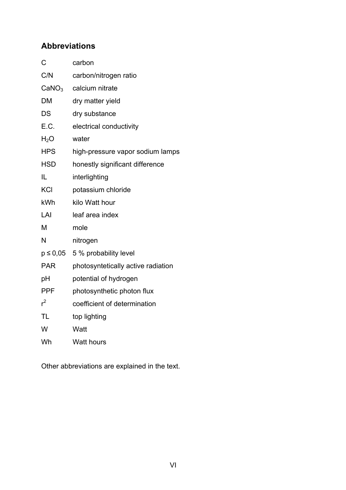## **Abbreviations**

| C                 | carbon                             |
|-------------------|------------------------------------|
| C/N               | carbon/nitrogen ratio              |
| CaNO <sub>3</sub> | calcium nitrate                    |
| <b>DM</b>         | dry matter yield                   |
| DS                | dry substance                      |
| E.C.              | electrical conductivity            |
| H <sub>2</sub> O  | water                              |
| <b>HPS</b>        | high-pressure vapor sodium lamps   |
| <b>HSD</b>        | honestly significant difference    |
| IL                | interlighting                      |
| <b>KCI</b>        | potassium chloride                 |
| kWh               | kilo Watt hour                     |
| LAI               | leaf area index                    |
| M                 | mole                               |
| N                 | nitrogen                           |
| $p \le 0.05$      | 5 % probability level              |
| <b>PAR</b>        | photosyntetically active radiation |
| pH                | potential of hydrogen              |
| <b>PPF</b>        | photosynthetic photon flux         |
| r <sup>2</sup>    | coefficient of determination       |
| <b>TL</b>         | top lighting                       |
| W                 | Watt                               |
| Wh                | <b>Watt hours</b>                  |

Other abbreviations are explained in the text.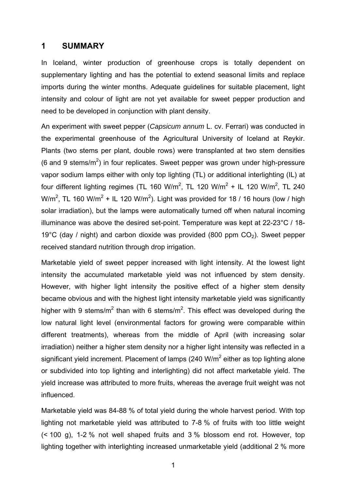### **1 SUMMARY**

In Iceland, winter production of greenhouse crops is totally dependent on supplementary lighting and has the potential to extend seasonal limits and replace imports during the winter months. Adequate guidelines for suitable placement, light intensity and colour of light are not yet available for sweet pepper production and need to be developed in conjunction with plant density.

An experiment with sweet pepper (*Capsicum annum* L. cv. Ferrari) was conducted in the experimental greenhouse of the Agricultural University of Iceland at Reykir. Plants (two stems per plant, double rows) were transplanted at two stem densities (6 and 9 stems/m<sup>2</sup>) in four replicates. Sweet pepper was grown under high-pressure vapor sodium lamps either with only top lighting (TL) or additional interlighting (IL) at four different lighting regimes (TL 160 W/m<sup>2</sup>, TL 120 W/m<sup>2</sup> + IL 120 W/m<sup>2</sup>, TL 240 W/m<sup>2</sup>, TL 160 W/m<sup>2</sup> + IL 120 W/m<sup>2</sup>). Light was provided for 18 / 16 hours (low / high solar irradiation), but the lamps were automatically turned off when natural incoming illuminance was above the desired set-point. Temperature was kept at 22-23°C / 18- 19°C (day / night) and carbon dioxide was provided (800 ppm  $CO<sub>2</sub>$ ). Sweet pepper received standard nutrition through drop irrigation.

Marketable yield of sweet pepper increased with light intensity. At the lowest light intensity the accumulated marketable yield was not influenced by stem density. However, with higher light intensity the positive effect of a higher stem density became obvious and with the highest light intensity marketable yield was significantly higher with 9 stems/m<sup>2</sup> than with 6 stems/m<sup>2</sup>. This effect was developed during the low natural light level (environmental factors for growing were comparable within different treatments), whereas from the middle of April (with increasing solar irradiation) neither a higher stem density nor a higher light intensity was reflected in a significant yield increment. Placement of lamps (240 W/m<sup>2</sup> either as top lighting alone or subdivided into top lighting and interlighting) did not affect marketable yield. The yield increase was attributed to more fruits, whereas the average fruit weight was not influenced.

Marketable yield was 84-88 % of total yield during the whole harvest period. With top lighting not marketable yield was attributed to 7-8 % of fruits with too little weight (< 100 g), 1-2 % not well shaped fruits and 3 % blossom end rot. However, top lighting together with interlighting increased unmarketable yield (additional 2 % more

1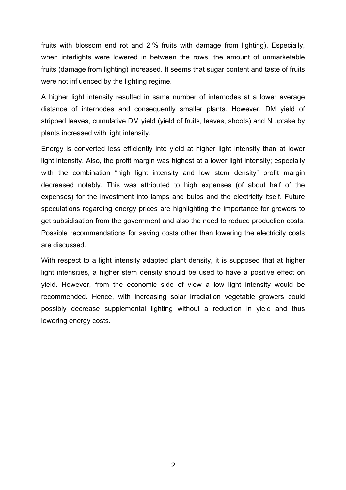fruits with blossom end rot and 2 % fruits with damage from lighting). Especially, when interlights were lowered in between the rows, the amount of unmarketable fruits (damage from lighting) increased. It seems that sugar content and taste of fruits were not influenced by the lighting regime.

A higher light intensity resulted in same number of internodes at a lower average distance of internodes and consequently smaller plants. However, DM yield of stripped leaves, cumulative DM yield (yield of fruits, leaves, shoots) and N uptake by plants increased with light intensity.

Energy is converted less efficiently into yield at higher light intensity than at lower light intensity. Also, the profit margin was highest at a lower light intensity; especially with the combination "high light intensity and low stem density" profit margin decreased notably. This was attributed to high expenses (of about half of the expenses) for the investment into lamps and bulbs and the electricity itself. Future speculations regarding energy prices are highlighting the importance for growers to get subsidisation from the government and also the need to reduce production costs. Possible recommendations for saving costs other than lowering the electricity costs are discussed.

With respect to a light intensity adapted plant density, it is supposed that at higher light intensities, a higher stem density should be used to have a positive effect on yield. However, from the economic side of view a low light intensity would be recommended. Hence, with increasing solar irradiation vegetable growers could possibly decrease supplemental lighting without a reduction in yield and thus lowering energy costs.

2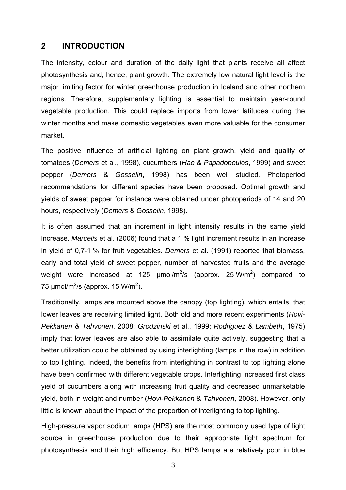### **2 INTRODUCTION**

The intensity, colour and duration of the daily light that plants receive all affect photosynthesis and, hence, plant growth. The extremely low natural light level is the major limiting factor for winter greenhouse production in Iceland and other northern regions. Therefore, supplementary lighting is essential to maintain year-round vegetable production. This could replace imports from lower latitudes during the winter months and make domestic vegetables even more valuable for the consumer market.

The positive influence of artificial lighting on plant growth, yield and quality of tomatoes (*Demers* et al., 1998), cucumbers (*Hao* & *Papadopoulos*, 1999) and sweet pepper (*Demers* & *Gosselin*, 1998) has been well studied. Photoperiod recommendations for different species have been proposed. Optimal growth and yields of sweet pepper for instance were obtained under photoperiods of 14 and 20 hours, respectively (*Demers* & *Gosselin*, 1998).

It is often assumed that an increment in light intensity results in the same yield increase. *Marcelis* et al. (2006) found that a 1 % light increment results in an increase in yield of 0,7-1 % for fruit vegetables. *Demers* et al. (1991) reported that biomass, early and total yield of sweet pepper, number of harvested fruits and the average weight were increased at 125  $\mu$ mol/m<sup>2</sup>/s (approx. 25 W/m<sup>2</sup>) compared to 75  $\mu$ mol/m<sup>2</sup>/s (approx. 15 W/m<sup>2</sup>).

Traditionally, lamps are mounted above the canopy (top lighting), which entails, that lower leaves are receiving limited light. Both old and more recent experiments (*Hovi-Pekkanen* & *Tahvonen*, 2008; *Grodzinski* et al., 1999; *Rodriguez* & *Lambeth*, 1975) imply that lower leaves are also able to assimilate quite actively, suggesting that a better utilization could be obtained by using interlighting (lamps in the row) in addition to top lighting. Indeed, the benefits from interlighting in contrast to top lighting alone have been confirmed with different vegetable crops. Interlighting increased first class yield of cucumbers along with increasing fruit quality and decreased unmarketable yield, both in weight and number (*Hovi-Pekkanen* & *Tahvonen*, 2008). However, only little is known about the impact of the proportion of interlighting to top lighting.

High-pressure vapor sodium lamps (HPS) are the most commonly used type of light source in greenhouse production due to their appropriate light spectrum for photosynthesis and their high efficiency. But HPS lamps are relatively poor in blue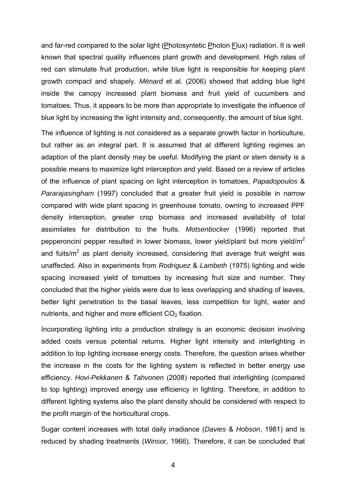and far-red compared to the solar light (Photosyntetic Photon Flux) radiation. It is well known that spectral quality influences plant growth and development. High rates of red can stimulate fruit production, while blue light is responsible for keeping plant growth compact and shapely. *Ménard* et al. (2006) showed that adding blue light inside the canopy increased plant biomass and fruit yield of cucumbers and tomatoes. Thus, it appears to be more than appropriate to investigate the influence of blue light by increasing the light intensity and, consequently, the amount of blue light.

The influence of lighting is not considered as a separate growth factor in horticulture, but rather as an integral part. It is assumed that at different lighting regimes an adaption of the plant density may be useful. Modifying the plant or stem density is a possible means to maximize light interception and yield. Based on a review of articles of the influence of plant spacing on light interception in tomatoes, *Papadopoulos* & *Pararajasingham* (1997) concluded that a greater fruit yield is possible in narrow compared with wide plant spacing in greenhouse tomato, owning to increased PPF density interception, greater crop biomass and increased availability of total assimilates for distribution to the fruits. *Motsenbocker* (1996) reported that pepperoncini pepper resulted in lower biomass, lower yield/plant but more yield/ $m^2$ and fuits/m<sup>2</sup> as plant density increased, considering that average fruit weight was unaffected. Also in experiments from *Rodriguez* & *Lambeth* (1975) lighting and wide spacing increased yield of tomatoes by increasing fruit size and number. They concluded that the higher yields were due to less overlapping and shading of leaves, better light penetration to the basal leaves, less competition for light, water and nutrients, and higher and more efficient  $CO<sub>2</sub>$  fixation.

Incorporating lighting into a production strategy is an economic decision involving added costs versus potential returns. Higher light intensity and interlighting in addition to top lighting increase energy costs. Therefore, the question arises whether the increase in the costs for the lighting system is reflected in better energy use efficiency. *Hovi-Pekkanen* & *Tahvonen* (2008) reported that interlighting (compared to top lighting) improved energy use efficiency in lighting. Therefore, in addition to different lighting systems also the plant density should be considered with respect to the profit margin of the horticultural crops.

Sugar content increases with total daily irradiance (*Davies* & *Hobson*, 1981) and is reduced by shading treatments (*Winsor*, 1966). Therefore, it can be concluded that

4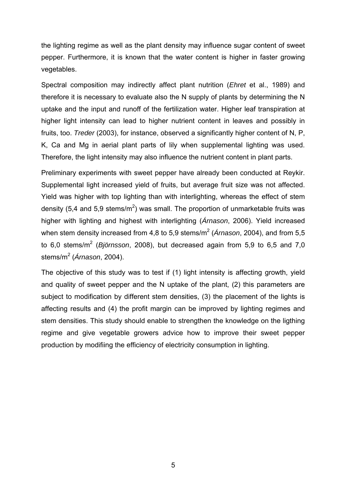the lighting regime as well as the plant density may influence sugar content of sweet pepper. Furthermore, it is known that the water content is higher in faster growing vegetables.

Spectral composition may indirectly affect plant nutrition (*Ehret* et al., 1989) and therefore it is necessary to evaluate also the N supply of plants by determining the N uptake and the input and runoff of the fertilization water. Higher leaf transpiration at higher light intensity can lead to higher nutrient content in leaves and possibly in fruits, too. *Treder* (2003), for instance, observed a significantly higher content of N, P, K, Ca and Mg in aerial plant parts of lily when supplemental lighting was used. Therefore, the light intensity may also influence the nutrient content in plant parts.

Preliminary experiments with sweet pepper have already been conducted at Reykir. Supplemental light increased yield of fruits, but average fruit size was not affected. Yield was higher with top lighting than with interlighting, whereas the effect of stem density (5,4 and 5,9 stems/m<sup>2</sup>) was small. The proportion of unmarketable fruits was higher with lighting and highest with interlighting (*Árnason*, 2006). Yield increased when stem density increased from 4,8 to 5,9 stems/m<sup>2</sup> (*Árnason*, 2004), and from 5,5 to 6,0 stems/m<sup>2</sup> (Björnsson, 2008), but decreased again from 5,9 to 6,5 and 7,0 stems/m<sup>2</sup> (*Árnason*, 2004).

The objective of this study was to test if (1) light intensity is affecting growth, yield and quality of sweet pepper and the N uptake of the plant, (2) this parameters are subject to modification by different stem densities, (3) the placement of the lights is affecting results and (4) the profit margin can be improved by lighting regimes and stem densities. This study should enable to strengthen the knowledge on the ligthing regime and give vegetable growers advice how to improve their sweet pepper production by modifiing the efficiency of electricity consumption in lighting.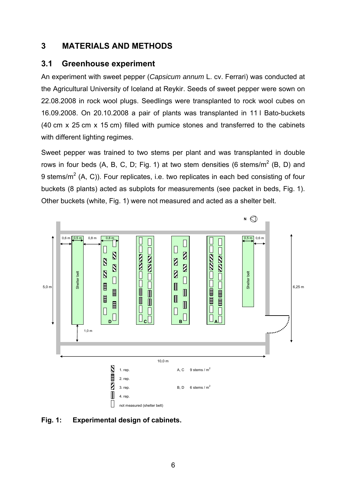## **3 MATERIALS AND METHODS**

## **3.1 Greenhouse experiment**

An experiment with sweet pepper (*Capsicum annum* L. cv. Ferrari) was conducted at the Agricultural University of Iceland at Reykir. Seeds of sweet pepper were sown on 22.08.2008 in rock wool plugs. Seedlings were transplanted to rock wool cubes on 16.09.2008. On 20.10.2008 a pair of plants was transplanted in 11 l Bato-buckets (40 cm x 25 cm x 15 cm) filled with pumice stones and transferred to the cabinets with different lighting regimes.

Sweet pepper was trained to two stems per plant and was transplanted in double rows in four beds (A, B, C, D; Fig. 1) at two stem densities (6 stems/m<sup>2</sup> (B, D) and 9 stems/m<sup>2</sup> (A, C)). Four replicates, i.e. two replicates in each bed consisting of four buckets (8 plants) acted as subplots for measurements (see packet in beds, Fig. 1). Other buckets (white, Fig. 1) were not measured and acted as a shelter belt.



**Fig. 1: Experimental design of cabinets.**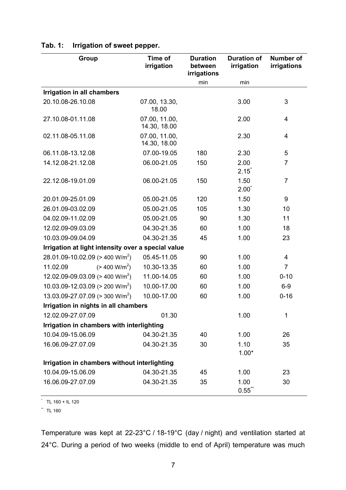| Group                                              | Time of<br>irrigation         | <b>Duration</b><br>between<br>irrigations | <b>Duration of</b><br>irrigation | <b>Number of</b><br>irrigations |  |
|----------------------------------------------------|-------------------------------|-------------------------------------------|----------------------------------|---------------------------------|--|
|                                                    |                               | min                                       | min                              |                                 |  |
| Irrigation in all chambers                         |                               |                                           |                                  |                                 |  |
| 20.10.08-26.10.08                                  | 07.00, 13.30,<br>18.00        |                                           | 3.00                             | 3                               |  |
| 27.10.08-01.11.08                                  | 07.00, 11.00,<br>14.30, 18.00 |                                           | 2.00                             | 4                               |  |
| 02.11.08-05.11.08                                  | 07.00, 11.00,<br>14.30, 18.00 |                                           | 2.30                             | 4                               |  |
| 06.11.08-13.12.08                                  | 07.00-19.05                   | 180                                       | 2.30                             | 5                               |  |
| 14.12.08-21.12.08                                  | 06.00-21.05                   | 150                                       | 2.00<br>$2.15^{\degree}$         | $\overline{7}$                  |  |
| 22.12.08-19.01.09                                  | 06.00-21.05                   | 150                                       | 1.50<br>$2.00^{\degree}$         | $\overline{7}$                  |  |
| 20.01.09-25.01.09                                  | 05.00-21.05                   | 120                                       | 1.50                             | 9                               |  |
| 26.01.09-03.02.09                                  | 05.00-21.05                   | 105                                       | 1.30                             | 10                              |  |
| 04.02.09-11.02.09                                  | 05.00-21.05                   | 90                                        | 1.30                             | 11                              |  |
| 12.02.09-09.03.09                                  | 04.30-21.35                   | 60                                        | 1.00                             | 18                              |  |
| 10.03.09-09.04.09                                  | 04.30-21.35                   | 45                                        | 1.00                             | 23                              |  |
| Irrigation at light intensity over a special value |                               |                                           |                                  |                                 |  |
| 28.01.09-10.02.09 (> 400 W/m <sup>2</sup> )        | 05.45-11.05                   | 90                                        | 1.00                             | 4                               |  |
| (> 400 W/m <sup>2</sup> )<br>11.02.09              | 10.30-13.35                   | 60                                        | 1.00                             | $\overline{7}$                  |  |
| 12.02.09-09.03.09 (> 400 W/m <sup>2</sup> )        | 11.00-14.05                   | 60                                        | 1.00                             | $0 - 10$                        |  |
| 10.03.09-12.03.09 ( $>$ 200 W/m <sup>2</sup> )     | 10.00-17.00                   | 60                                        | 1.00                             | $6-9$                           |  |
| 13.03.09-27.07.09 (> 300 W/m <sup>2</sup> )        | 10.00-17.00                   | 60                                        | 1.00                             | $0 - 16$                        |  |
| Irrigation in nights in all chambers               |                               |                                           |                                  |                                 |  |
| 12.02.09-27.07.09                                  | 01.30                         |                                           | 1.00                             | 1                               |  |
| Irrigation in chambers with interlighting          |                               |                                           |                                  |                                 |  |
| 10.04.09-15.06.09                                  | 04.30-21.35                   | 40                                        | 1.00                             | 26                              |  |
| 16.06.09-27.07.09                                  | 04.30-21.35                   | 30                                        | 1.10<br>$1.00*$                  | 35                              |  |
| Irrigation in chambers without interlighting       |                               |                                           |                                  |                                 |  |
| 10.04.09-15.06.09                                  | 04.30-21.35                   | 45                                        | 1.00                             | 23                              |  |
| 16.06.09-27.07.09                                  | 04.30-21.35                   | 35                                        | 1.00<br>$0.55$ *                 | 30                              |  |

## **Tab. 1: Irrigation of sweet pepper.**

 $\dot{ }$  TL 160 + IL 120

 $\ddot{ }$  TL 160

Temperature was kept at 22-23°C / 18-19°C (day / night) and ventilation started at 24°C. During a period of two weeks (middle to end of April) temperature was much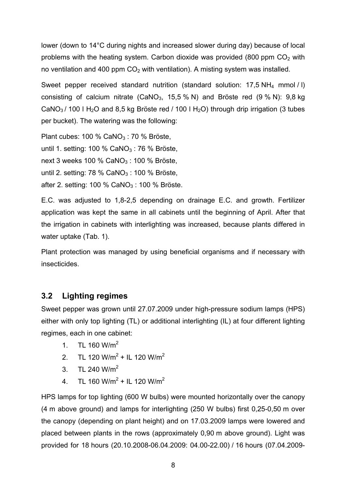lower (down to 14°C during nights and increased slower during day) because of local problems with the heating system. Carbon dioxide was provided (800 ppm  $CO<sub>2</sub>$  with no ventilation and 400 ppm  $CO<sub>2</sub>$  with ventilation). A misting system was installed.

Sweet pepper received standard nutrition (standard solution: 17,5 NH4 mmol / l) consisting of calcium nitrate (CaNO<sub>3</sub>, 15,5 % N) and Bröste red  $(9\% N)$ : 9,8 kg CaNO<sub>3</sub>/ 100 l H<sub>2</sub>O and 8,5 kg Bröste red / 100 l H<sub>2</sub>O) through drip irrigation (3 tubes per bucket). The watering was the following:

Plant cubes: 100 %  $CaNO<sub>3</sub>$ : 70 % Bröste,

until 1. setting: 100 % CaNO<sub>3</sub> : 76 % Bröste,

next 3 weeks 100 %  $CaNO<sub>3</sub>$ : 100 % Bröste,

until 2. setting: 78 % CaNO<sub>3</sub>: 100 % Bröste,

after 2. setting: 100 % CaNO<sub>3</sub>: 100 % Bröste.

E.C. was adjusted to 1,8-2,5 depending on drainage E.C. and growth. Fertilizer application was kept the same in all cabinets until the beginning of April. After that the irrigation in cabinets with interlighting was increased, because plants differed in water uptake (Tab. 1).

Plant protection was managed by using beneficial organisms and if necessary with insecticides.

## **3.2 Lighting regimes**

Sweet pepper was grown until 27.07.2009 under high-pressure sodium lamps (HPS) either with only top lighting (TL) or additional interlighting (IL) at four different lighting regimes, each in one cabinet:

- 1. TL 160  $W/m^2$
- 2. TL 120 W/m<sup>2</sup> + IL 120 W/m<sup>2</sup>
- 3. TL 240  $W/m^2$
- 4. TL 160 W/m<sup>2</sup> + IL 120 W/m<sup>2</sup>

HPS lamps for top lighting (600 W bulbs) were mounted horizontally over the canopy (4 m above ground) and lamps for interlighting (250 W bulbs) first 0,25-0,50 m over the canopy (depending on plant height) and on 17.03.2009 lamps were lowered and placed between plants in the rows (approximately 0,90 m above ground). Light was provided for 18 hours (20.10.2008-06.04.2009: 04.00-22.00) / 16 hours (07.04.2009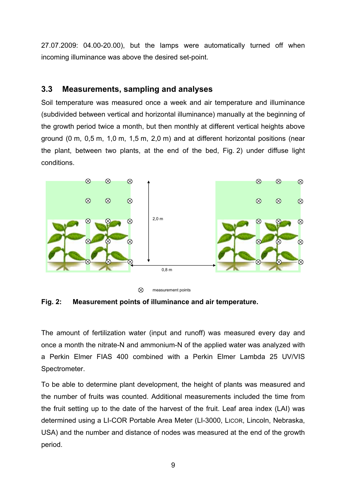27.07.2009: 04.00-20.00), but the lamps were automatically turned off when incoming illuminance was above the desired set-point.

## **3.3 Measurements, sampling and analyses**

Soil temperature was measured once a week and air temperature and illuminance (subdivided between vertical and horizontal illuminance) manually at the beginning of the growth period twice a month, but then monthly at different vertical heights above ground (0 m, 0,5 m, 1,0 m, 1,5 m, 2,0 m) and at different horizontal positions (near the plant, between two plants, at the end of the bed, Fig. 2) under diffuse light conditions.





**Fig. 2: Measurement points of illuminance and air temperature.** 

The amount of fertilization water (input and runoff) was measured every day and once a month the nitrate-N and ammonium-N of the applied water was analyzed with a Perkin Elmer FIAS 400 combined with a Perkin Elmer Lambda 25 UV/VIS Spectrometer.

To be able to determine plant development, the height of plants was measured and the number of fruits was counted. Additional measurements included the time from the fruit setting up to the date of the harvest of the fruit. Leaf area index (LAI) was determined using a LI-COR Portable Area Meter (LI-3000, LICOR, Lincoln, Nebraska, USA) and the number and distance of nodes was measured at the end of the growth period.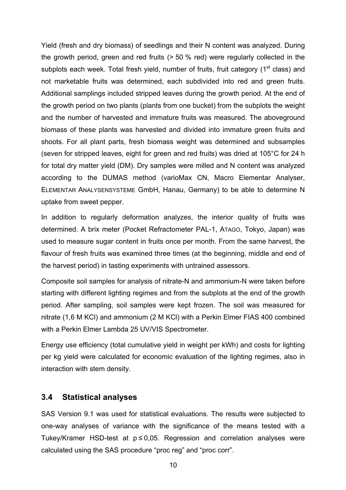Yield (fresh and dry biomass) of seedlings and their N content was analyzed. During the growth period, green and red fruits (> 50 % red) were regularly collected in the subplots each week. Total fresh yield, number of fruits, fruit category (1<sup>st</sup> class) and not marketable fruits was determined, each subdivided into red and green fruits. Additional samplings included stripped leaves during the growth period. At the end of the growth period on two plants (plants from one bucket) from the subplots the weight and the number of harvested and immature fruits was measured. The aboveground biomass of these plants was harvested and divided into immature green fruits and shoots. For all plant parts, fresh biomass weight was determined and subsamples (seven for stripped leaves, eight for green and red fruits) was dried at 105°C for 24 h for total dry matter yield (DM). Dry samples were milled and N content was analyzed according to the DUMAS method (varioMax CN, Macro Elementar Analyser, ELEMENTAR ANALYSENSYSTEME GmbH, Hanau, Germany) to be able to determine N uptake from sweet pepper.

In addition to regularly deformation analyzes, the interior quality of fruits was determined. A brix meter (Pocket Refractometer PAL-1, ATAGO, Tokyo, Japan) was used to measure sugar content in fruits once per month. From the same harvest, the flavour of fresh fruits was examined three times (at the beginning, middle and end of the harvest period) in tasting experiments with untrained assessors.

Composite soil samples for analysis of nitrate-N and ammonium-N were taken before starting with different lighting regimes and from the subplots at the end of the growth period. After sampling, soil samples were kept frozen. The soil was measured for nitrate (1,6 M KCl) and ammonium (2 M KCl) with a Perkin Elmer FIAS 400 combined with a Perkin Elmer Lambda 25 UV/VIS Spectrometer.

Energy use efficiency (total cumulative yield in weight per kWh) and costs for lighting per kg yield were calculated for economic evaluation of the lighting regimes, also in interaction with stem density.

## **3.4 Statistical analyses**

SAS Version 9.1 was used for statistical evaluations. The results were subjected to one-way analyses of variance with the significance of the means tested with a Tukey/Kramer HSD-test at  $p \le 0.05$ . Regression and correlation analyses were calculated using the SAS procedure "proc reg" and "proc corr".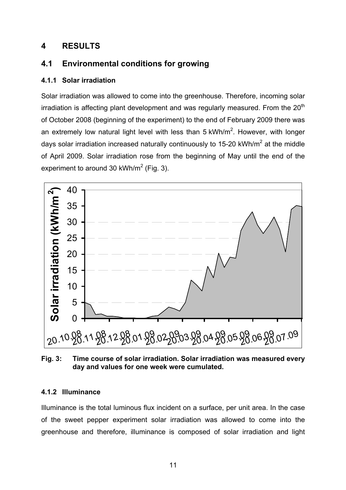## **4 RESULTS**

## **4.1 Environmental conditions for growing**

### **4.1.1 Solar irradiation**

Solar irradiation was allowed to come into the greenhouse. Therefore, incoming solar irradiation is affecting plant development and was regularly measured. From the  $20<sup>th</sup>$ of October 2008 (beginning of the experiment) to the end of February 2009 there was an extremely low natural light level with less than 5 kWh/m<sup>2</sup>. However, with longer days solar irradiation increased naturally continuously to 15-20 kWh/m<sup>2</sup> at the middle of April 2009. Solar irradiation rose from the beginning of May until the end of the experiment to around 30 kWh/m<sup>2</sup> (Fig. 3).



**Fig. 3: Time course of solar irradiation. Solar irradiation was measured every day and values for one week were cumulated.** 

#### **4.1.2 Illuminance**

Illuminance is the total luminous flux incident on a surface, per unit area. In the case of the sweet pepper experiment solar irradiation was allowed to come into the greenhouse and therefore, illuminance is composed of solar irradiation and light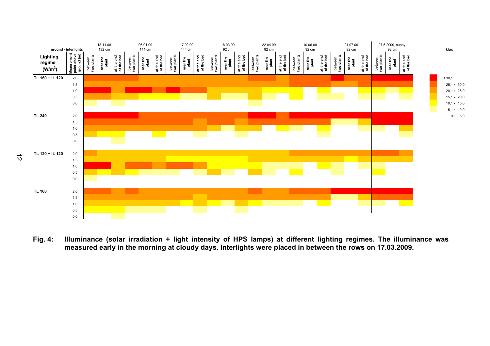

**Fig. 4: Illuminance (solar irradiation + light intensity of HPS lamps) at different lighting regimes. The illuminance was measured early in the morning at cloudy days. Interlights were placed in between the rows on 17.03.2009.**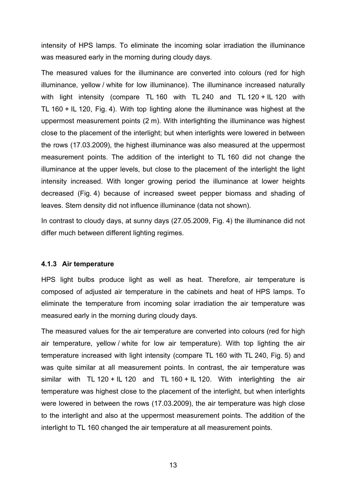intensity of HPS lamps. To eliminate the incoming solar irradiation the illuminance was measured early in the morning during cloudy days.

The measured values for the illuminance are converted into colours (red for high illuminance, yellow / white for low illuminance). The illuminance increased naturally with light intensity (compare TL 160 with TL 240 and TL 120 + IL 120 with TL 160 + IL 120, Fig. 4). With top lighting alone the illuminance was highest at the uppermost measurement points (2 m). With interlighting the illuminance was highest close to the placement of the interlight; but when interlights were lowered in between the rows (17.03.2009), the highest illuminance was also measured at the uppermost measurement points. The addition of the interlight to TL 160 did not change the illuminance at the upper levels, but close to the placement of the interlight the light intensity increased. With longer growing period the illuminance at lower heights decreased (Fig. 4) because of increased sweet pepper biomass and shading of leaves. Stem density did not influence illuminance (data not shown).

In contrast to cloudy days, at sunny days (27.05.2009, Fig. 4) the illuminance did not differ much between different lighting regimes.

#### **4.1.3 Air temperature**

HPS light bulbs produce light as well as heat. Therefore, air temperature is composed of adjusted air temperature in the cabinets and heat of HPS lamps. To eliminate the temperature from incoming solar irradiation the air temperature was measured early in the morning during cloudy days.

The measured values for the air temperature are converted into colours (red for high air temperature, yellow / white for low air temperature). With top lighting the air temperature increased with light intensity (compare TL 160 with TL 240, Fig. 5) and was quite similar at all measurement points. In contrast, the air temperature was similar with TL 120 + IL 120 and TL 160 + IL 120. With interlighting the air temperature was highest close to the placement of the interlight, but when interlights were lowered in between the rows (17.03.2009), the air temperature was high close to the interlight and also at the uppermost measurement points. The addition of the interlight to TL 160 changed the air temperature at all measurement points.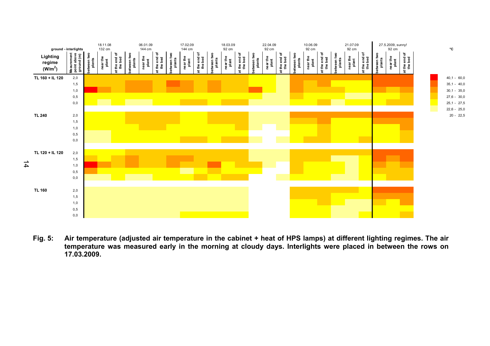

**Fig. 5: Air temperature (adjusted air temperature in the cabinet + heat of HPS lamps) at different lighting regimes. The air temperature was measured early in the morning at cloudy days. Interlights were placed in between the rows on 17.03.2009.**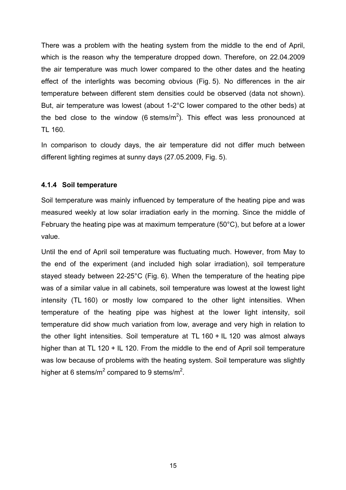There was a problem with the heating system from the middle to the end of April, which is the reason why the temperature dropped down. Therefore, on 22.04.2009 the air temperature was much lower compared to the other dates and the heating effect of the interlights was becoming obvious (Fig. 5). No differences in the air temperature between different stem densities could be observed (data not shown). But, air temperature was lowest (about 1-2°C lower compared to the other beds) at the bed close to the window (6 stems/m<sup>2</sup>). This effect was less pronounced at TL 160.

In comparison to cloudy days, the air temperature did not differ much between different lighting regimes at sunny days (27.05.2009, Fig. 5).

#### **4.1.4 Soil temperature**

Soil temperature was mainly influenced by temperature of the heating pipe and was measured weekly at low solar irradiation early in the morning. Since the middle of February the heating pipe was at maximum temperature (50°C), but before at a lower value.

Until the end of April soil temperature was fluctuating much. However, from May to the end of the experiment (and included high solar irradiation), soil temperature stayed steady between 22-25°C (Fig. 6). When the temperature of the heating pipe was of a similar value in all cabinets, soil temperature was lowest at the lowest light intensity (TL 160) or mostly low compared to the other light intensities. When temperature of the heating pipe was highest at the lower light intensity, soil temperature did show much variation from low, average and very high in relation to the other light intensities. Soil temperature at TL 160 + IL 120 was almost always higher than at TL 120 + IL 120. From the middle to the end of April soil temperature was low because of problems with the heating system. Soil temperature was slightly higher at 6 stems/m<sup>2</sup> compared to 9 stems/m<sup>2</sup>.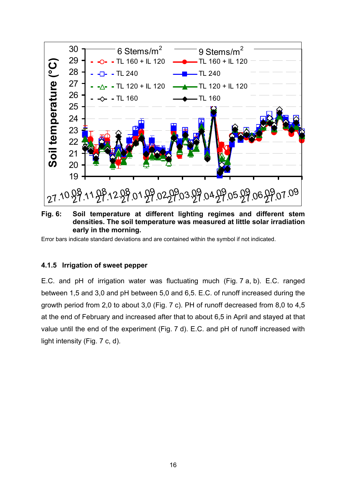

**Fig. 6: Soil temperature at different lighting regimes and different stem densities. The soil temperature was measured at little solar irradiation early in the morning.** 

Error bars indicate standard deviations and are contained within the symbol if not indicated.

#### **4.1.5 Irrigation of sweet pepper**

E.C. and pH of irrigation water was fluctuating much (Fig. 7 a, b). E.C. ranged between 1,5 and 3,0 and pH between 5,0 and 6,5. E.C. of runoff increased during the growth period from 2,0 to about 3,0 (Fig. 7 c). PH of runoff decreased from 8,0 to 4,5 at the end of February and increased after that to about 6,5 in April and stayed at that value until the end of the experiment (Fig. 7 d). E.C. and pH of runoff increased with light intensity (Fig. 7 c, d).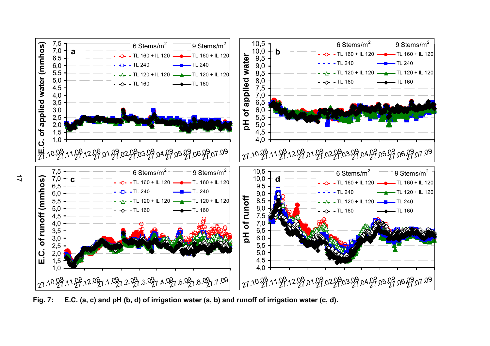

**Fig. 7: E.C. (a, c) and pH (b, d) of irrigation water (a, b) and runoff of irrigation water (c, d).**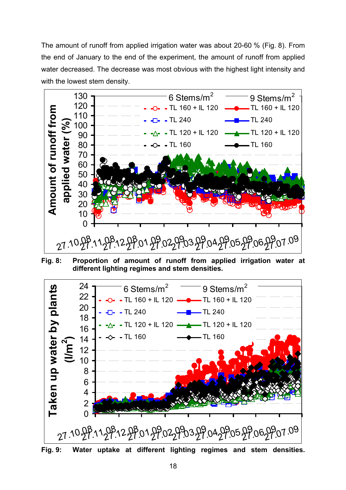The amount of runoff from applied irrigation water was about 20-60 % (Fig. 8). From the end of January to the end of the experiment, the amount of runoff from applied water decreased. The decrease was most obvious with the highest light intensity and with the lowest stem density.



**Fig. 8: Proportion of amount of runoff from applied irrigation water at different lighting regimes and stem densities.** 



**Fig. 9: Water uptake at different lighting regimes and stem densities.**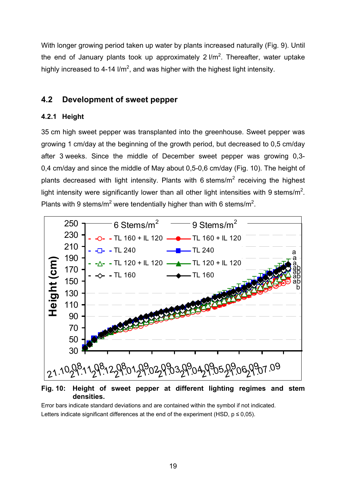With longer growing period taken up water by plants increased naturally (Fig. 9). Until the end of January plants took up approximately 2  $l/m^2$ . Thereafter, water uptake highly increased to 4-14 l/m<sup>2</sup>, and was higher with the highest light intensity.

## **4.2 Development of sweet pepper**

#### **4.2.1 Height**

35 cm high sweet pepper was transplanted into the greenhouse. Sweet pepper was growing 1 cm/day at the beginning of the growth period, but decreased to 0,5 cm/day after 3 weeks. Since the middle of December sweet pepper was growing 0,3- 0,4 cm/day and since the middle of May about 0,5-0,6 cm/day (Fig. 10). The height of plants decreased with light intensity. Plants with 6 stems/m<sup>2</sup> receiving the highest light intensity were significantly lower than all other light intensities with 9 stems/m<sup>2</sup>. Plants with 9 stems/m<sup>2</sup> were tendentially higher than with 6 stems/m<sup>2</sup>.



**Fig. 10: Height of sweet pepper at different lighting regimes and stem densities.** 

Error bars indicate standard deviations and are contained within the symbol if not indicated. Letters indicate significant differences at the end of the experiment (HSD,  $p \le 0.05$ ).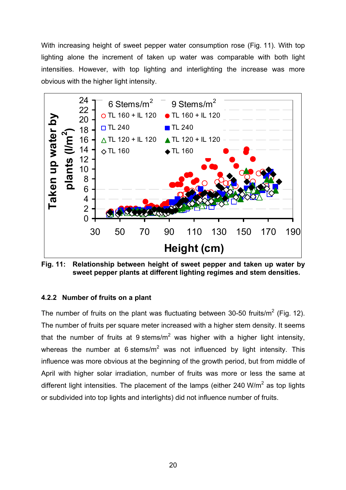With increasing height of sweet pepper water consumption rose (Fig. 11). With top lighting alone the increment of taken up water was comparable with both light intensities. However, with top lighting and interlighting the increase was more obvious with the higher light intensity.



**Fig. 11: Relationship between height of sweet pepper and taken up water by sweet pepper plants at different lighting regimes and stem densities.** 

#### **4.2.2 Number of fruits on a plant**

The number of fruits on the plant was fluctuating between 30-50 fruits/m<sup>2</sup> (Fig. 12). The number of fruits per square meter increased with a higher stem density. It seems that the number of fruits at 9 stems/m<sup>2</sup> was higher with a higher light intensity, whereas the number at 6 stems/m<sup>2</sup> was not influenced by light intensity. This influence was more obvious at the beginning of the growth period, but from middle of April with higher solar irradiation, number of fruits was more or less the same at different light intensities. The placement of the lamps (either 240 W/m<sup>2</sup> as top lights or subdivided into top lights and interlights) did not influence number of fruits.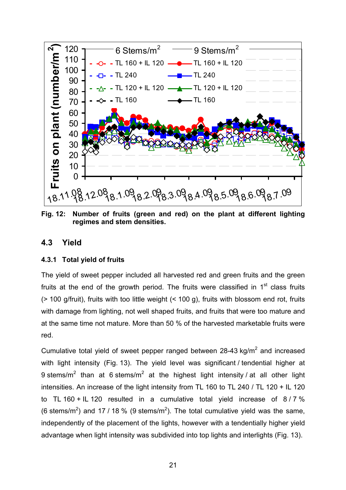

**Fig. 12: Number of fruits (green and red) on the plant at different lighting regimes and stem densities.** 

## **4.3 Yield**

#### **4.3.1 Total yield of fruits**

The yield of sweet pepper included all harvested red and green fruits and the green fruits at the end of the growth period. The fruits were classified in  $1<sup>st</sup>$  class fruits (> 100 g/fruit), fruits with too little weight (< 100 g), fruits with blossom end rot, fruits with damage from lighting, not well shaped fruits, and fruits that were too mature and at the same time not mature. More than 50 % of the harvested marketable fruits were red.

Cumulative total yield of sweet pepper ranged between 28-43 kg/m<sup>2</sup> and increased with light intensity (Fig. 13). The yield level was significant / tendential higher at 9 stems/m<sup>2</sup> than at 6 stems/m<sup>2</sup> at the highest light intensity / at all other light intensities. An increase of the light intensity from TL 160 to TL 240 / TL 120 + IL 120 to TL 160 + IL 120 resulted in a cumulative total yield increase of  $8/7\%$ (6 stems/m<sup>2</sup>) and 17 / 18 % (9 stems/m<sup>2</sup>). The total cumulative yield was the same, independently of the placement of the lights, however with a tendentially higher yield advantage when light intensity was subdivided into top lights and interlights (Fig. 13).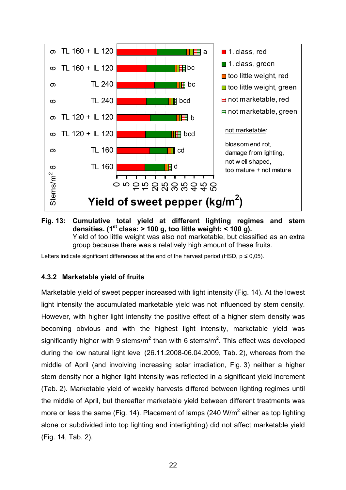



Letters indicate significant differences at the end of the harvest period (HSD,  $p \le 0.05$ ).

#### **4.3.2 Marketable yield of fruits**

Marketable yield of sweet pepper increased with light intensity (Fig. 14). At the lowest light intensity the accumulated marketable yield was not influenced by stem density. However, with higher light intensity the positive effect of a higher stem density was becoming obvious and with the highest light intensity, marketable yield was significantly higher with 9 stems/m<sup>2</sup> than with 6 stems/m<sup>2</sup>. This effect was developed during the low natural light level (26.11.2008-06.04.2009, Tab. 2), whereas from the middle of April (and involving increasing solar irradiation, Fig. 3) neither a higher stem density nor a higher light intensity was reflected in a significant yield increment (Tab. 2). Marketable yield of weekly harvests differed between lighting regimes until the middle of April, but thereafter marketable yield between different treatments was more or less the same (Fig. 14). Placement of lamps (240 W/m<sup>2</sup> either as top lighting alone or subdivided into top lighting and interlighting) did not affect marketable yield (Fig. 14, Tab. 2).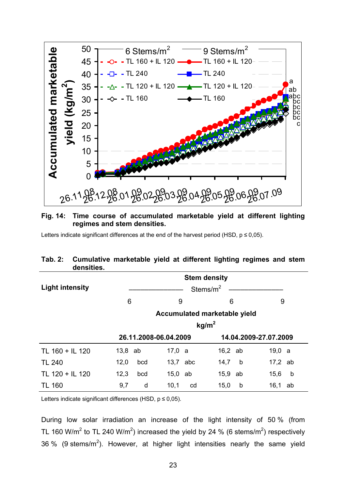

#### **Fig. 14: Time course of accumulated marketable yield at different lighting regimes and stem densities.**

Letters indicate significant differences at the end of the harvest period (HSD,  $p \le 0.05$ ).

#### **Tab. 2: Cumulative marketable yield at different lighting regimes and stem densities.**

|                        | <b>Stem density</b> |              |                       |     |                              |           |    |
|------------------------|---------------------|--------------|-----------------------|-----|------------------------------|-----------|----|
| <b>Light intensity</b> |                     | Stems/ $m^2$ |                       |     |                              |           |    |
|                        | 6                   |              | 9                     |     | 6                            | 9         |    |
|                        |                     |              |                       |     | Accumulated marketable yield |           |    |
|                        |                     |              |                       |     | kg/m <sup>2</sup>            |           |    |
|                        |                     |              | 26.11.2008-06.04.2009 |     | 14.04.2009-27.07.2009        |           |    |
| TL 160 + IL 120        | $13,8$ ab           |              | 17,0 a                |     | $16,2$ ab                    | 19,0 a    |    |
| <b>TL 240</b>          | 12,0                | bcd          | 13,7                  | abc | 14,7<br>b                    | $17,2$ ab |    |
| TL 120 + IL 120        | 12,3                | bcd          | 15,0                  | ab  | 15,9<br>ab                   | 15,6      | b  |
| TL 160                 | 9,7                 | d            | 10,1                  | cd  | 15,0<br>b                    | 16,1      | ab |

Letters indicate significant differences (HSD,  $p \le 0.05$ ).

During low solar irradiation an increase of the light intensity of 50 % (from TL 160 W/m<sup>2</sup> to TL 240 W/m<sup>2</sup>) increased the yield by 24 % (6 stems/m<sup>2</sup>) respectively 36 % (9 stems/m<sup>2</sup>). However, at higher light intensities nearly the same yield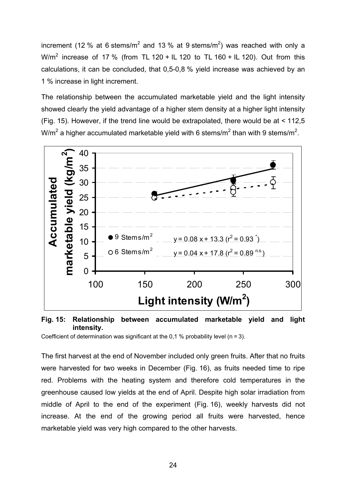increment (12 % at 6 stems/m<sup>2</sup> and 13 % at 9 stems/m<sup>2</sup>) was reached with only a W/m<sup>2</sup> increase of 17 % (from TL 120 + IL 120 to TL 160 + IL 120). Out from this calculations, it can be concluded, that 0,5-0,8 % yield increase was achieved by an 1 % increase in light increment.

The relationship between the accumulated marketable yield and the light intensity showed clearly the yield advantage of a higher stem density at a higher light intensity (Fig. 15). However, if the trend line would be extrapolated, there would be at < 112,5 W/m<sup>2</sup> a higher accumulated marketable yield with 6 stems/m<sup>2</sup> than with 9 stems/m<sup>2</sup>.



**Fig. 15: Relationship between accumulated marketable yield and light intensity.** 

Coefficient of determination was significant at the 0,1 % probability level ( $n = 3$ ).

The first harvest at the end of November included only green fruits. After that no fruits were harvested for two weeks in December (Fig. 16), as fruits needed time to ripe red. Problems with the heating system and therefore cold temperatures in the greenhouse caused low yields at the end of April. Despite high solar irradiation from middle of April to the end of the experiment (Fig. 16), weekly harvests did not increase. At the end of the growing period all fruits were harvested, hence marketable yield was very high compared to the other harvests.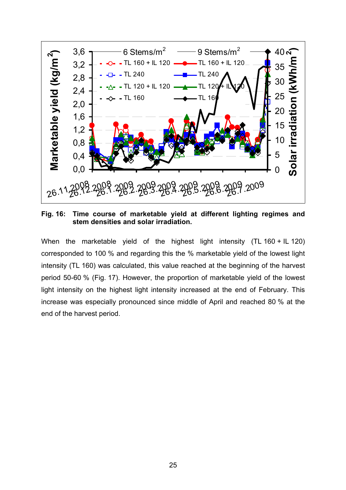

**Fig. 16: Time course of marketable yield at different lighting regimes and stem densities and solar irradiation.** 

When the marketable yield of the highest light intensity (TL 160 + IL 120) corresponded to 100 % and regarding this the % marketable yield of the lowest light intensity (TL 160) was calculated, this value reached at the beginning of the harvest period 50-60 % (Fig. 17). However, the proportion of marketable yield of the lowest light intensity on the highest light intensity increased at the end of February. This increase was especially pronounced since middle of April and reached 80 % at the end of the harvest period.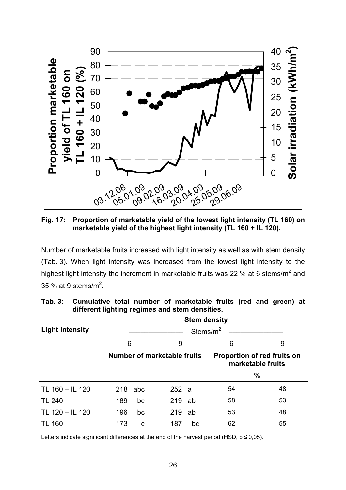

**Fig. 17: Proportion of marketable yield of the lowest light intensity (TL 160) on marketable yield of the highest light intensity (TL 160 + IL 120).** 

Number of marketable fruits increased with light intensity as well as with stem density (Tab. 3). When light intensity was increased from the lowest light intensity to the highest light intensity the increment in marketable fruits was 22 % at 6 stems/m<sup>2</sup> and 35 % at 9 stems/m<sup>2</sup>.

| amorom.ngm.ng rognnoo ana otom aonomoo. |                     |     |                             |    |                                                         |    |  |  |
|-----------------------------------------|---------------------|-----|-----------------------------|----|---------------------------------------------------------|----|--|--|
|                                         | <b>Stem density</b> |     |                             |    |                                                         |    |  |  |
| <b>Light intensity</b>                  | Stems/ $m^2$        |     |                             |    |                                                         |    |  |  |
|                                         | 6                   |     | 9                           |    | 6                                                       | 9  |  |  |
|                                         |                     |     | Number of marketable fruits |    | <b>Proportion of red fruits on</b><br>marketable fruits |    |  |  |
|                                         |                     |     |                             |    | %                                                       |    |  |  |
| TL 160 + IL 120                         | 218                 | abc | 252a                        |    | 54                                                      | 48 |  |  |
| <b>TL 240</b>                           | 189                 | bc  | 219                         | ab | 58                                                      | 53 |  |  |
| TL 120 + IL 120                         | 196                 | bc  | 219                         | ab | 53                                                      | 48 |  |  |
| <b>TL 160</b>                           | 173                 | C   | 187                         | bc | 62                                                      | 55 |  |  |

**Tab. 3: Cumulative total number of marketable fruits (red and green) at different lighting regimes and stem densities.** 

Letters indicate significant differences at the end of the harvest period (HSD,  $p \le 0.05$ ).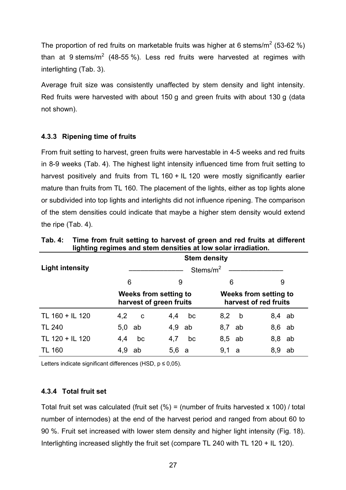The proportion of red fruits on marketable fruits was higher at 6 stems/m<sup>2</sup> (53-62 %) than at 9 stems/m<sup>2</sup> (48-55 %). Less red fruits were harvested at regimes with interlighting (Tab. 3).

Average fruit size was consistently unaffected by stem density and light intensity. Red fruits were harvested with about 150 g and green fruits with about 130 g (data not shown).

# **4.3.3 Ripening time of fruits**

From fruit setting to harvest, green fruits were harvestable in 4-5 weeks and red fruits in 8-9 weeks (Tab. 4). The highest light intensity influenced time from fruit setting to harvest positively and fruits from TL 160 + IL 120 were mostly significantly earlier mature than fruits from TL 160. The placement of the lights, either as top lights alone or subdivided into top lights and interlights did not influence ripening. The comparison of the stem densities could indicate that maybe a higher stem density would extend the ripe (Tab. 4).

|                        |                                                  |    |     | <b>Stem density</b> |                                                |    |     |    |
|------------------------|--------------------------------------------------|----|-----|---------------------|------------------------------------------------|----|-----|----|
| <b>Light intensity</b> | Stems/ $m2$                                      |    |     |                     |                                                |    |     |    |
|                        | 6                                                |    | 9   |                     | 6                                              |    | 9   |    |
|                        | Weeks from setting to<br>harvest of green fruits |    |     |                     | Weeks from setting to<br>harvest of red fruits |    |     |    |
| TL 160 + IL 120        | 4,2                                              | C  | 4,4 | bc                  | 8,2                                            | b  | 8,4 | ab |
| <b>TL 240</b>          | 5,0                                              | ab | 4,9 | ab                  | 8,7                                            | ab | 8,6 | ab |
| TL 120 + IL 120        | 4,4                                              | bc | 4,7 | bc                  | 8,5                                            | ab | 8,8 | ab |
| TL 160                 | 4,9                                              | ab | 5,6 | a                   | 9,1                                            | a  | 8,9 | ab |

**Tab. 4: Time from fruit setting to harvest of green and red fruits at different lighting regimes and stem densities at low solar irradiation.** 

Letters indicate significant differences (HSD,  $p \le 0.05$ ).

# **4.3.4 Total fruit set**

Total fruit set was calculated (fruit set  $(%) =$  (number of fruits harvested x 100) / total number of internodes) at the end of the harvest period and ranged from about 60 to 90 %. Fruit set increased with lower stem density and higher light intensity (Fig. 18). Interlighting increased slightly the fruit set (compare TL 240 with TL 120 + IL 120).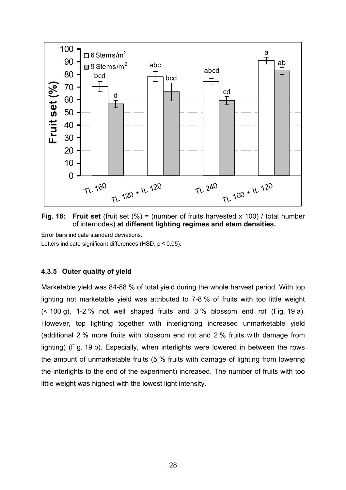

**Fig. 18: Fruit set** (fruit set (%) = (number of fruits harvested x 100) / total number of internodes) **at different lighting regimes and stem densities.** 

Error bars indicate standard deviations. Letters indicate significant differences (HSD,  $p \le 0.05$ ).

# **4.3.5 Outer quality of yield**

Marketable yield was 84-88 % of total yield during the whole harvest period. With top lighting not marketable yield was attributed to 7-8 % of fruits with too little weight (< 100 g), 1-2 % not well shaped fruits and 3 % blossom end rot (Fig. 19 a). However, top lighting together with interlighting increased unmarketable yield (additional 2 % more fruits with blossom end rot and 2 % fruits with damage from lighting) (Fig. 19 b). Especially, when interlights were lowered in between the rows the amount of unmarketable fruits (5 % fruits with damage of lighting from lowering the interlights to the end of the experiment) increased. The number of fruits with too little weight was highest with the lowest light intensity.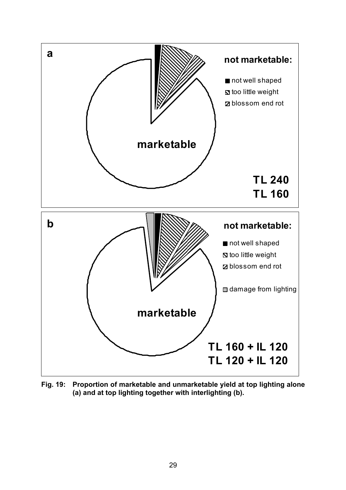

**Fig. 19: Proportion of marketable and unmarketable yield at top lighting alone (a) and at top lighting together with interlighting (b).**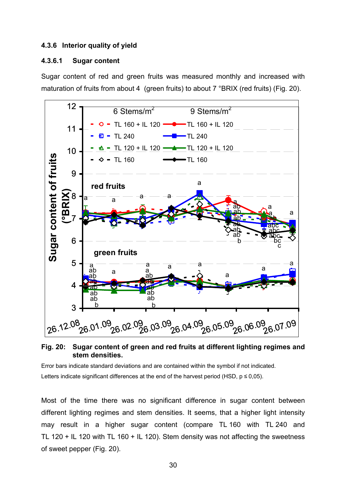### **4.3.6 Interior quality of yield**

#### **4.3.6.1 Sugar content**

Sugar content of red and green fruits was measured monthly and increased with maturation of fruits from about 4 (green fruits) to about 7 °BRIX (red fruits) (Fig. 20).



**Fig. 20: Sugar content of green and red fruits at different lighting regimes and stem densities.** 

Error bars indicate standard deviations and are contained within the symbol if not indicated. Letters indicate significant differences at the end of the harvest period (HSD,  $p \le 0.05$ ).

Most of the time there was no significant difference in sugar content between different lighting regimes and stem densities. It seems, that a higher light intensity may result in a higher sugar content (compare TL 160 with TL 240 and TL 120 + IL 120 with TL 160 + IL 120). Stem density was not affecting the sweetness of sweet pepper (Fig. 20).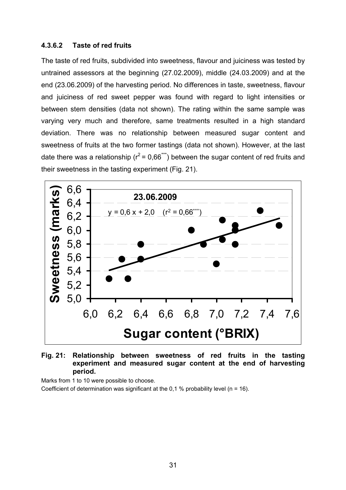## **4.3.6.2 Taste of red fruits**

The taste of red fruits, subdivided into sweetness, flavour and juiciness was tested by untrained assessors at the beginning (27.02.2009), middle (24.03.2009) and at the end (23.06.2009) of the harvesting period. No differences in taste, sweetness, flavour and juiciness of red sweet pepper was found with regard to light intensities or between stem densities (data not shown). The rating within the same sample was varying very much and therefore, same treatments resulted in a high standard deviation. There was no relationship between measured sugar content and sweetness of fruits at the two former tastings (data not shown). However, at the last date there was a relationship ( $r^2$  = 0,66<sup>\*\*\*</sup>) between the sugar content of red fruits and their sweetness in the tasting experiment (Fig. 21).



**Fig. 21: Relationship between sweetness of red fruits in the tasting experiment and measured sugar content at the end of harvesting period.** 

Marks from 1 to 10 were possible to choose.

Coefficient of determination was significant at the 0,1 % probability level ( $n = 16$ ).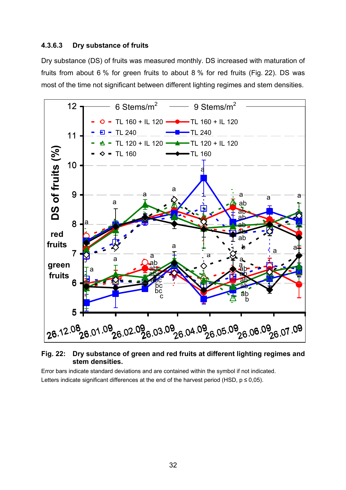## **4.3.6.3 Dry substance of fruits**

Dry substance (DS) of fruits was measured monthly. DS increased with maturation of fruits from about 6 % for green fruits to about 8 % for red fruits (Fig. 22). DS was most of the time not significant between different lighting regimes and stem densities.



### **Fig. 22: Dry substance of green and red fruits at different lighting regimes and stem densities.**

Error bars indicate standard deviations and are contained within the symbol if not indicated. Letters indicate significant differences at the end of the harvest period (HSD,  $p \le 0.05$ ).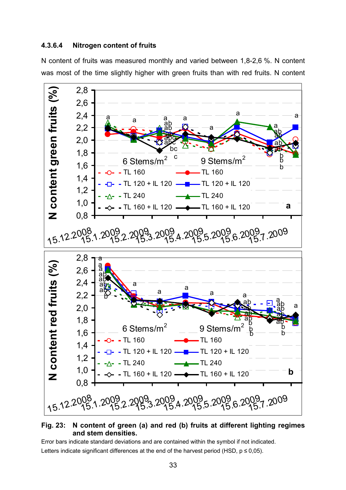### **4.3.6.4 Nitrogen content of fruits**

N content of fruits was measured monthly and varied between 1,8-2,6 %. N content was most of the time slightly higher with green fruits than with red fruits. N content



## **Fig. 23: N content of green (a) and red (b) fruits at different lighting regimes and stem densities.**

Error bars indicate standard deviations and are contained within the symbol if not indicated. Letters indicate significant differences at the end of the harvest period (HSD,  $p \le 0.05$ ).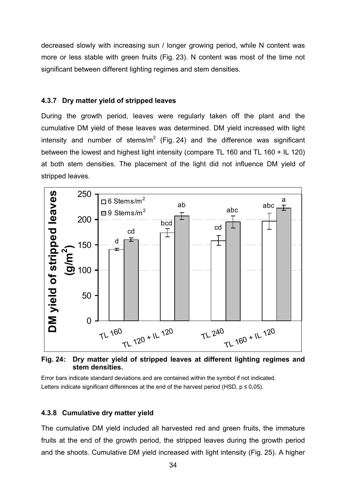decreased slowly with increasing sun / longer growing period, while N content was more or less stable with green fruits (Fig. 23). N content was most of the time not significant between different lighting regimes and stem densities.

## **4.3.7 Dry matter yield of stripped leaves**

During the growth period, leaves were regularly taken off the plant and the cumulative DM yield of these leaves was determined. DM yield increased with light intensity and number of stems/m<sup>2</sup> (Fig. 24) and the difference was significant between the lowest and highest light intensity (compare TL 160 and TL 160 + IL 120) at both stem densities. The placement of the light did not influence DM yield of stripped leaves.



**Fig. 24: Dry matter yield of stripped leaves at different lighting regimes and stem densities.** 

Error bars indicate standard deviations and are contained within the symbol if not indicated. Letters indicate significant differences at the end of the harvest period (HSD,  $p \le 0.05$ ).

# **4.3.8 Cumulative dry matter yield**

The cumulative DM yield included all harvested red and green fruits, the immature fruits at the end of the growth period, the stripped leaves during the growth period and the shoots. Cumulative DM yield increased with light intensity (Fig. 25). A higher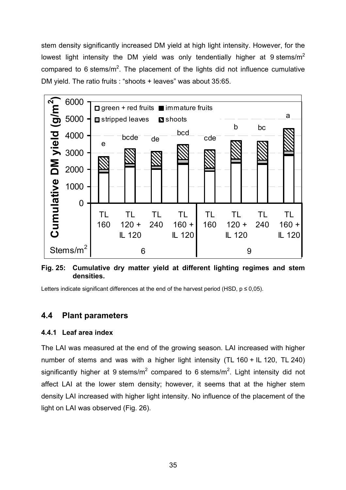stem density significantly increased DM yield at high light intensity. However, for the lowest light intensity the DM yield was only tendentially higher at 9 stems/ $m<sup>2</sup>$ compared to 6 stems/m<sup>2</sup>. The placement of the lights did not influence cumulative DM yield. The ratio fruits : "shoots + leaves" was about 35:65.



**Fig. 25: Cumulative dry matter yield at different lighting regimes and stem densities.** 

Letters indicate significant differences at the end of the harvest period (HSD,  $p \le 0.05$ ).

# **4.4 Plant parameters**

# **4.4.1 Leaf area index**

The LAI was measured at the end of the growing season. LAI increased with higher number of stems and was with a higher light intensity (TL 160 + IL 120, TL 240) significantly higher at 9 stems/m<sup>2</sup> compared to 6 stems/m<sup>2</sup>. Light intensity did not affect LAI at the lower stem density; however, it seems that at the higher stem density LAI increased with higher light intensity. No influence of the placement of the light on LAI was observed (Fig. 26).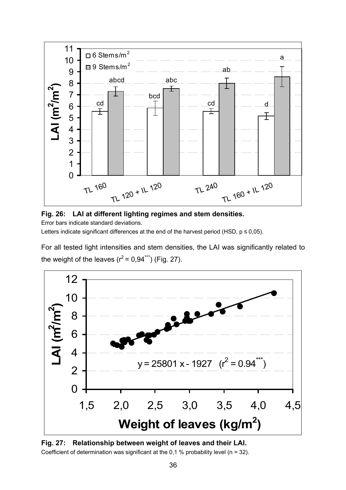



Error bars indicate standard deviations.

Letters indicate significant differences at the end of the harvest period (HSD,  $p \le 0.05$ ).

For all tested light intensities and stem densities, the LAI was significantly related to the weight of the leaves  $(r^2 = 0.94^{***})$  (Fig. 27).



**Fig. 27: Relationship between weight of leaves and their LAI.**  Coefficient of determination was significant at the 0,1 % probability level ( $n = 32$ ).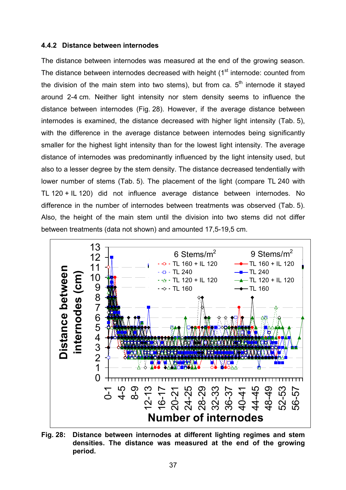#### **4.4.2 Distance between internodes**

The distance between internodes was measured at the end of the growing season. The distance between internodes decreased with height  $(1<sup>st</sup>$  internode: counted from the division of the main stem into two stems), but from ca.  $5<sup>th</sup>$  internode it stayed around 2-4 cm. Neither light intensity nor stem density seems to influence the distance between internodes (Fig. 28). However, if the average distance between internodes is examined, the distance decreased with higher light intensity (Tab. 5), with the difference in the average distance between internodes being significantly smaller for the highest light intensity than for the lowest light intensity. The average distance of internodes was predominantly influenced by the light intensity used, but also to a lesser degree by the stem density. The distance decreased tendentially with lower number of stems (Tab. 5). The placement of the light (compare TL 240 with TL 120 + IL 120) did not influence average distance between internodes. No difference in the number of internodes between treatments was observed (Tab. 5). Also, the height of the main stem until the division into two stems did not differ between treatments (data not shown) and amounted 17,5-19,5 cm.



**Fig. 28: Distance between internodes at different lighting regimes and stem densities. The distance was measured at the end of the growing period.**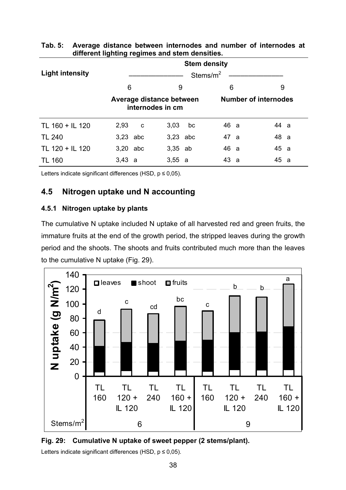|                        | <b>Stem density</b><br>Stems/ $m^2$ |                  |          |    |      |                             |      |  |  |
|------------------------|-------------------------------------|------------------|----------|----|------|-----------------------------|------|--|--|
| <b>Light intensity</b> |                                     |                  |          |    |      |                             |      |  |  |
|                        | 6<br>6<br>9<br>9                    |                  |          |    |      |                             |      |  |  |
|                        | Average distance between            | internodes in cm |          |    |      | <b>Number of internodes</b> |      |  |  |
| TL 160 + IL 120        | 2,93                                | C                | 3,03     | bc | 46 a |                             | 44 a |  |  |
| <b>TL 240</b>          | 3,23 abc                            |                  | 3,23 abc |    | 47 a |                             | 48 a |  |  |
| TL 120 + IL 120        | 3,20                                | abc              | 3,35     | ab | 46 a |                             | 45 a |  |  |
| TL 160                 | 3,43 a                              |                  | 3,55 a   |    | 43 a |                             | 45 a |  |  |

# **Tab. 5: Average distance between internodes and number of internodes at different lighting regimes and stem densities.**

Letters indicate significant differences (HSD,  $p \le 0.05$ ).

# **4.5 Nitrogen uptake und N accounting**

# **4.5.1 Nitrogen uptake by plants**

The cumulative N uptake included N uptake of all harvested red and green fruits, the immature fruits at the end of the growth period, the stripped leaves during the growth period and the shoots. The shoots and fruits contributed much more than the leaves to the cumulative N uptake (Fig. 29).





Letters indicate significant differences (HSD,  $p \le 0.05$ ).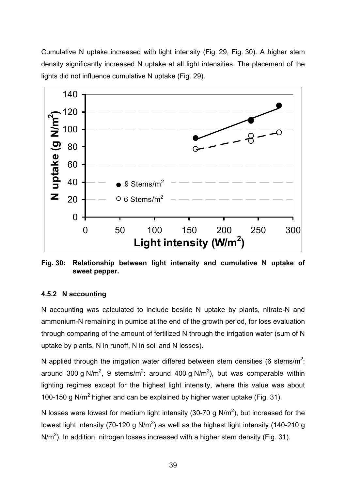Cumulative N uptake increased with light intensity (Fig. 29, Fig. 30). A higher stem density significantly increased N uptake at all light intensities. The placement of the lights did not influence cumulative N uptake (Fig. 29).



**Fig. 30: Relationship between light intensity and cumulative N uptake of sweet pepper.** 

# **4.5.2 N accounting**

N accounting was calculated to include beside N uptake by plants, nitrate-N and ammonium-N remaining in pumice at the end of the growth period, for loss evaluation through comparing of the amount of fertilized N through the irrigation water (sum of N uptake by plants, N in runoff, N in soil and N losses).

N applied through the irrigation water differed between stem densities (6 stems/m<sup>2</sup>: around 300 g N/m<sup>2</sup>, 9 stems/m<sup>2</sup>: around 400 g N/m<sup>2</sup>), but was comparable within lighting regimes except for the highest light intensity, where this value was about 100-150 g N/ $m^2$  higher and can be explained by higher water uptake (Fig. 31).

N losses were lowest for medium light intensity (30-70 g N/m<sup>2</sup>), but increased for the lowest light intensity (70-120 g N/m<sup>2</sup>) as well as the highest light intensity (140-210 g N/m<sup>2</sup>). In addition, nitrogen losses increased with a higher stem density (Fig. 31).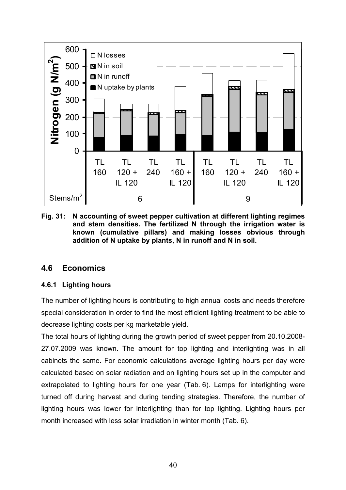

**Fig. 31: N accounting of sweet pepper cultivation at different lighting regimes and stem densities. The fertilized N through the irrigation water is known (cumulative pillars) and making losses obvious through addition of N uptake by plants, N in runoff and N in soil.** 

# **4.6 Economics**

# **4.6.1 Lighting hours**

The number of lighting hours is contributing to high annual costs and needs therefore special consideration in order to find the most efficient lighting treatment to be able to decrease lighting costs per kg marketable yield.

The total hours of lighting during the growth period of sweet pepper from 20.10.2008- 27.07.2009 was known. The amount for top lighting and interlighting was in all cabinets the same. For economic calculations average lighting hours per day were calculated based on solar radiation and on lighting hours set up in the computer and extrapolated to lighting hours for one year (Tab. 6). Lamps for interlighting were turned off during harvest and during tending strategies. Therefore, the number of lighting hours was lower for interlighting than for top lighting. Lighting hours per month increased with less solar irradiation in winter month (Tab. 6).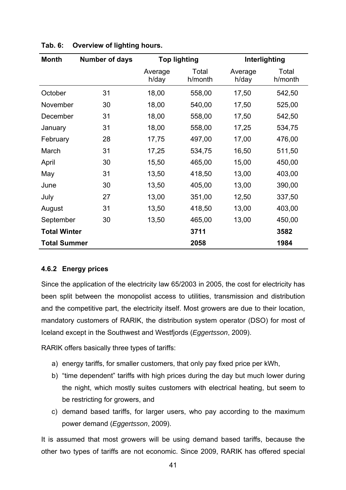| <b>Month</b>        | <b>Number of days</b> | <b>Top lighting</b> |                  |                  | Interlighting    |
|---------------------|-----------------------|---------------------|------------------|------------------|------------------|
|                     |                       | Average<br>h/day    | Total<br>h/month | Average<br>h/day | Total<br>h/month |
| October             | 31                    | 18,00               | 558,00           | 17,50            | 542,50           |
| November            | 30                    | 18,00               | 540,00           | 17,50            | 525,00           |
| December            | 31                    | 18,00               | 558,00           | 17,50            | 542,50           |
| January             | 31                    | 18,00               | 558,00           | 17,25            | 534,75           |
| February            | 28                    | 17,75               | 497,00           | 17,00            | 476,00           |
| March               | 31                    | 17,25               | 534,75           | 16,50            | 511,50           |
| April               | 30                    | 15,50               | 465,00           | 15,00            | 450,00           |
| May                 | 31                    | 13,50               | 418,50           | 13,00            | 403,00           |
| June                | 30                    | 13,50               | 405,00           | 13,00            | 390,00           |
| July                | 27                    | 13,00               | 351,00           | 12,50            | 337,50           |
| August              | 31                    | 13,50               | 418,50           | 13,00            | 403,00           |
| September           | 30                    | 13,50               | 465,00           | 13,00            | 450,00           |
| <b>Total Winter</b> |                       |                     | 3711             |                  | 3582             |
| <b>Total Summer</b> |                       |                     | 2058             |                  | 1984             |

# **Tab. 6: Overview of lighting hours.**

# **4.6.2 Energy prices**

Since the application of the electricity law 65/2003 in 2005, the cost for electricity has been split between the monopolist access to utilities, transmission and distribution and the competitive part, the electricity itself. Most growers are due to their location, mandatory customers of RARIK, the distribution system operator (DSO) for most of Iceland except in the Southwest and Westfjords (*Eggertsson*, 2009).

RARIK offers basically three types of tariffs:

- a) energy tariffs, for smaller customers, that only pay fixed price per kWh,
- b) "time dependent" tariffs with high prices during the day but much lower during the night, which mostly suites customers with electrical heating, but seem to be restricting for growers, and
- c) demand based tariffs, for larger users, who pay according to the maximum power demand (*Eggertsson*, 2009).

It is assumed that most growers will be using demand based tariffs, because the other two types of tariffs are not economic. Since 2009, RARIK has offered special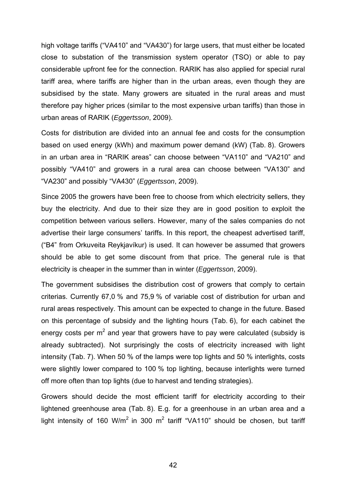high voltage tariffs ("VA410" and "VA430") for large users, that must either be located close to substation of the transmission system operator (TSO) or able to pay considerable upfront fee for the connection. RARIK has also applied for special rural tariff area, where tariffs are higher than in the urban areas, even though they are subsidised by the state. Many growers are situated in the rural areas and must therefore pay higher prices (similar to the most expensive urban tariffs) than those in urban areas of RARIK (*Eggertsson*, 2009).

Costs for distribution are divided into an annual fee and costs for the consumption based on used energy (kWh) and maximum power demand (kW) (Tab. 8). Growers in an urban area in "RARIK areas" can choose between "VA110" and "VA210" and possibly "VA410" and growers in a rural area can choose between "VA130" and "VA230" and possibly "VA430" (*Eggertsson*, 2009).

Since 2005 the growers have been free to choose from which electricity sellers, they buy the electricity. And due to their size they are in good position to exploit the competition between various sellers. However, many of the sales companies do not advertise their large consumers' tariffs. In this report, the cheapest advertised tariff, ("B4" from Orkuveita Reykjavíkur) is used. It can however be assumed that growers should be able to get some discount from that price. The general rule is that electricity is cheaper in the summer than in winter (*Eggertsson*, 2009).

The government subsidises the distribution cost of growers that comply to certain criterias. Currently 67,0 % and 75,9 % of variable cost of distribution for urban and rural areas respectively. This amount can be expected to change in the future. Based on this percentage of subsidy and the lighting hours (Tab. 6), for each cabinet the energy costs per m<sup>2</sup> and year that growers have to pay were calculated (subsidy is already subtracted). Not surprisingly the costs of electricity increased with light intensity (Tab. 7). When 50 % of the lamps were top lights and 50 % interlights, costs were slightly lower compared to 100 % top lighting, because interlights were turned off more often than top lights (due to harvest and tending strategies).

Growers should decide the most efficient tariff for electricity according to their lightened greenhouse area (Tab. 8). E.g. for a greenhouse in an urban area and a light intensity of 160 W/m<sup>2</sup> in 300 m<sup>2</sup> tariff "VA110" should be chosen, but tariff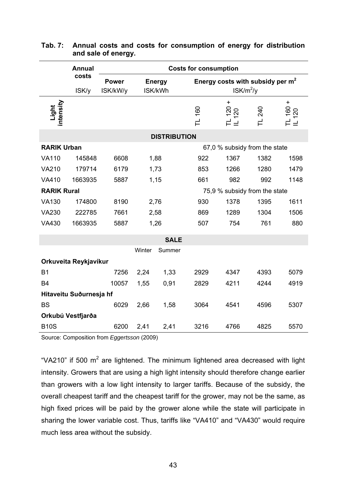|                    | <b>Annual</b>           | <b>Costs for consumption</b> |                               |                          |        |                                                   |      |                    |  |  |
|--------------------|-------------------------|------------------------------|-------------------------------|--------------------------|--------|---------------------------------------------------|------|--------------------|--|--|
|                    | costs<br>ISK/y          | <b>Power</b><br>ISK/kW/y     |                               | <b>Energy</b><br>ISK/kWh |        | Energy costs with subsidy per $m2$<br>$ISK/m^2/y$ |      |                    |  |  |
| Light<br>intensity |                         |                              |                               |                          | TL 160 | TL 120 +<br>IL 120                                | 240  | TL 160 +<br>IL 120 |  |  |
|                    |                         |                              |                               | <b>DISTRIBUTION</b>      |        |                                                   |      |                    |  |  |
| <b>RARIK Urban</b> |                         |                              |                               |                          |        | 67,0 % subsidy from the state                     |      |                    |  |  |
| <b>VA110</b>       | 145848                  | 6608                         |                               | 1,88                     | 922    | 1367                                              | 1382 | 1598               |  |  |
| <b>VA210</b>       | 179714                  | 6179                         |                               | 1,73                     | 853    | 1266                                              | 1280 | 1479               |  |  |
| <b>VA410</b>       | 1663935                 | 5887                         | 1,15                          |                          | 661    | 982                                               | 992  | 1148               |  |  |
| <b>RARIK Rural</b> |                         |                              | 75,9 % subsidy from the state |                          |        |                                                   |      |                    |  |  |
| <b>VA130</b>       | 174800                  | 8190                         | 2,76                          |                          | 930    | 1378                                              | 1395 | 1611               |  |  |
| <b>VA230</b>       | 222785                  | 7661                         | 2,58                          |                          | 869    | 1289                                              | 1304 | 1506               |  |  |
| <b>VA430</b>       | 1663935                 | 5887                         |                               | 1,26                     | 507    | 754                                               | 761  | 880                |  |  |
|                    |                         |                              |                               | <b>SALE</b>              |        |                                                   |      |                    |  |  |
|                    |                         |                              | Winter                        | Summer                   |        |                                                   |      |                    |  |  |
|                    | Orkuveita Reykjavíkur   |                              |                               |                          |        |                                                   |      |                    |  |  |
| <b>B1</b>          |                         | 7256                         | 2,24                          | 1,33                     | 2929   | 4347                                              | 4393 | 5079               |  |  |
| <b>B4</b>          |                         | 10057                        | 1,55                          | 0,91                     | 2829   | 4211                                              | 4244 | 4919               |  |  |
|                    | Hitaveitu Suðurnesja hf |                              |                               |                          |        |                                                   |      |                    |  |  |
| <b>BS</b>          |                         | 6029                         | 2,66                          | 1,58                     | 3064   | 4541                                              | 4596 | 5307               |  |  |
|                    | Orkubú Vestfjarða       |                              |                               |                          |        |                                                   |      |                    |  |  |
| <b>B10S</b>        |                         | 6200                         | 2,41                          | 2,41                     | 3216   | 4766                                              | 4825 | 5570               |  |  |

# **Tab. 7: Annual costs and costs for consumption of energy for distribution and sale of energy.**

Source: Composition from *Eggertsson* (2009)

"VA210" if 500  $m^2$  are lightened. The minimum lightened area decreased with light intensity. Growers that are using a high light intensity should therefore change earlier than growers with a low light intensity to larger tariffs. Because of the subsidy, the overall cheapest tariff and the cheapest tariff for the grower, may not be the same, as high fixed prices will be paid by the grower alone while the state will participate in sharing the lower variable cost. Thus, tariffs like "VA410" and "VA430" would require much less area without the subsidy.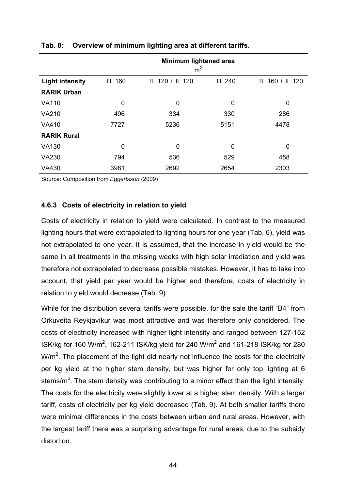|                        |               | Minimum lightened area<br>m <sup>2</sup> |               |                 |  |  |  |  |
|------------------------|---------------|------------------------------------------|---------------|-----------------|--|--|--|--|
| <b>Light intensity</b> | <b>TL 160</b> | TL 120 + IL 120                          | <b>TL 240</b> | TL 160 + IL 120 |  |  |  |  |
| <b>RARIK Urban</b>     |               |                                          |               |                 |  |  |  |  |
| <b>VA110</b>           | 0             | 0                                        | 0             | 0               |  |  |  |  |
| <b>VA210</b>           | 496           | 334                                      | 330           | 286             |  |  |  |  |
| <b>VA410</b>           | 7727          | 5236                                     | 5151          | 4478            |  |  |  |  |
| <b>RARIK Rural</b>     |               |                                          |               |                 |  |  |  |  |
| <b>VA130</b>           | 0             | 0                                        | 0             | 0               |  |  |  |  |
| <b>VA230</b>           | 794           | 536                                      | 529           | 458             |  |  |  |  |
| <b>VA430</b>           | 3981          | 2692                                     | 2654          | 2303            |  |  |  |  |

## **Tab. 8: Overview of minimum lighting area at different tariffs.**

Source: Composition from *Eggertsson* (2009)

# **4.6.3 Costs of electricity in relation to yield**

Costs of electricity in relation to yield were calculated. In contrast to the measured lighting hours that were extrapolated to lighting hours for one year (Tab. 6), yield was not extrapolated to one year. It is assumed, that the increase in yield would be the same in all treatments in the missing weeks with high solar irradiation and yield was therefore not extrapolated to decrease possible mistakes. However, it has to take into account, that yield per year would be higher and therefore, costs of electricity in relation to yield would decrease (Tab. 9).

While for the distribution several tariffs were possible, for the sale the tariff "B4" from Orkuveita Reykjavíkur was most attractive and was therefore only considered. The costs of electricity increased with higher light intensity and ranged between 127-152 ISK/kg for 160 W/m<sup>2</sup>, 162-211 ISK/kg yield for 240 W/m<sup>2</sup> and 161-218 ISK/kg for 280 W/m<sup>2</sup>. The placement of the light did nearly not influence the costs for the electricity per kg yield at the higher stem density, but was higher for only top lighting at 6 stems/m<sup>2</sup>. The stem density was contributing to a minor effect than the light intensity: The costs for the electricity were slightly lower at a higher stem density. With a larger tariff, costs of electricity per kg yield decreased (Tab. 9). At both smaller tariffs there were minimal differences in the costs between urban and rural areas. However, with the largest tariff there was a surprising advantage for rural areas, due to the subsidy distortion.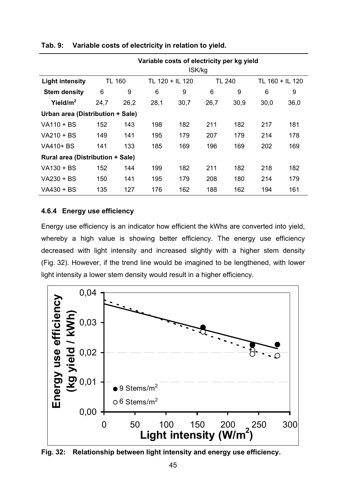|                                         | Variable costs of electricity per kg yield<br>ISK/kg |               |      |                 |      |               |      |                 |  |
|-----------------------------------------|------------------------------------------------------|---------------|------|-----------------|------|---------------|------|-----------------|--|
| <b>Light intensity</b>                  |                                                      | <b>TL 160</b> |      | TL 120 + IL 120 |      | <b>TL 240</b> |      | TL 160 + IL 120 |  |
| <b>Stem density</b>                     | 6                                                    | 9             | 6    | 9               | 6    | 9             | 6    | 9               |  |
| Yield/ $m2$                             | 24,7                                                 | 26,2          | 28,1 | 30,7            | 26,7 | 30,9          | 30,0 | 36,0            |  |
| Urban area (Distribution + Sale)        |                                                      |               |      |                 |      |               |      |                 |  |
| VA110 + BS                              | 152                                                  | 143           | 198  | 182             | 211  | 182           | 217  | 181             |  |
| VA210 + BS                              | 149                                                  | 141           | 195  | 179             | 207  | 179           | 214  | 178             |  |
| VA410+ BS                               | 141                                                  | 133           | 185  | 169             | 196  | 169           | 202  | 169             |  |
| <b>Rural area (Distribution + Sale)</b> |                                                      |               |      |                 |      |               |      |                 |  |
| VA130 + BS                              | 152                                                  | 144           | 199  | 182             | 211  | 182           | 218  | 182             |  |
| VA230 + BS                              | 150                                                  | 141           | 195  | 179             | 208  | 180           | 214  | 179             |  |
| VA430 + BS                              | 135                                                  | 127           | 176  | 162             | 188  | 162           | 194  | 161             |  |

## **Tab. 9: Variable costs of electricity in relation to yield.**

## **4.6.4 Energy use efficiency**

Energy use efficiency is an indicator how efficient the kWhs are converted into yield, whereby a high value is showing better efficiency. The energy use efficiency decreased with light intensity and increased slightly with a higher stem density (Fig. 32). However, if the trend line would be imagined to be lengthened, with lower light intensity a lower stem density would result in a higher efficiency.



**Fig. 32: Relationship between light intensity and energy use efficiency.**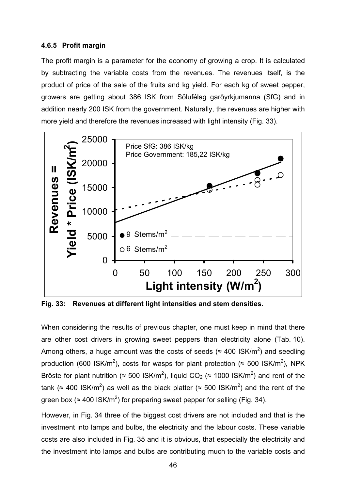### **4.6.5 Profit margin**

The profit margin is a parameter for the economy of growing a crop. It is calculated by subtracting the variable costs from the revenues. The revenues itself, is the product of price of the sale of the fruits and kg yield. For each kg of sweet pepper, growers are getting about 386 ISK from Sölufélag garðyrkjumanna (SfG) and in addition nearly 200 ISK from the government. Naturally, the revenues are higher with more yield and therefore the revenues increased with light intensity (Fig. 33).



**Fig. 33: Revenues at different light intensities and stem densities.** 

When considering the results of previous chapter, one must keep in mind that there are other cost drivers in growing sweet peppers than electricity alone (Tab. 10). Among others, a huge amount was the costs of seeds ( $\approx$  400 ISK/m<sup>2</sup>) and seedling production (600 ISK/m<sup>2</sup>), costs for wasps for plant protection (≈ 500 ISK/m<sup>2</sup>), NPK Bröste for plant nutrition (≈ 500 ISK/m<sup>2</sup>), liquid CO<sub>2</sub> (≈ 1000 ISK/m<sup>2</sup>) and rent of the tank (≈ 400 ISK/m<sup>2</sup>) as well as the black platter (≈ 500 ISK/m<sup>2</sup>) and the rent of the green box ( $\approx 400$  ISK/m<sup>2</sup>) for preparing sweet pepper for selling (Fig. 34).

However, in Fig. 34 three of the biggest cost drivers are not included and that is the investment into lamps and bulbs, the electricity and the labour costs. These variable costs are also included in Fig. 35 and it is obvious, that especially the electricity and the investment into lamps and bulbs are contributing much to the variable costs and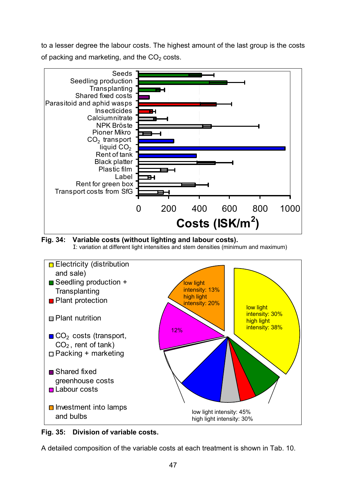to a lesser degree the labour costs. The highest amount of the last group is the costs of packing and marketing, and the  $CO<sub>2</sub>$  costs.







**Fig. 35: Division of variable costs.** 

A detailed composition of the variable costs at each treatment is shown in Tab. 10.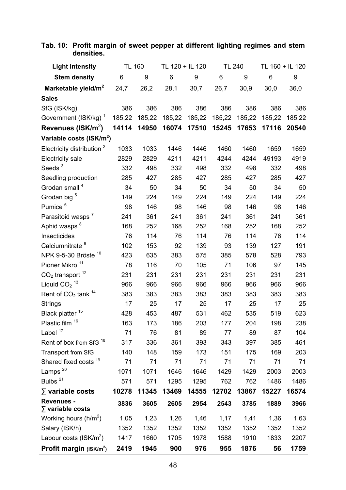| <b>Light intensity</b>                       | <b>TL 160</b> |        | TL 120 + IL 120 |        | <b>TL 240</b> |        | TL 160 + IL 120 |        |
|----------------------------------------------|---------------|--------|-----------------|--------|---------------|--------|-----------------|--------|
| <b>Stem density</b>                          | 6             | 9      | 6               | 9      | 6             | 9      | 6               | 9      |
| Marketable yield/m <sup>2</sup>              | 24,7          | 26,2   | 28,1            | 30,7   | 26,7          | 30,9   | 30,0            | 36,0   |
| <b>Sales</b>                                 |               |        |                 |        |               |        |                 |        |
| SfG (ISK/kg)                                 | 386           | 386    | 386             | 386    | 386           | 386    | 386             | 386    |
| Government (ISK/kg) <sup>1</sup>             | 185,22        | 185,22 | 185,22          | 185,22 | 185,22        | 185,22 | 185,22          | 185,22 |
| Revenues ( $\text{ISK/m}^2$ )                | 14114         | 14950  | 16074           | 17510  | 15245         | 17653  | 17116           | 20540  |
| Variable costs (ISK/m <sup>2</sup> )         |               |        |                 |        |               |        |                 |        |
| Electricity distribution <sup>2</sup>        | 1033          | 1033   | 1446            | 1446   | 1460          | 1460   | 1659            | 1659   |
| <b>Electricity sale</b>                      | 2829          | 2829   | 4211            | 4211   | 4244          | 4244   | 49193           | 4919   |
| Seeds $3$                                    | 332           | 498    | 332             | 498    | 332           | 498    | 332             | 498    |
| Seedling production                          | 285           | 427    | 285             | 427    | 285           | 427    | 285             | 427    |
| Grodan small <sup>4</sup>                    | 34            | 50     | 34              | 50     | 34            | 50     | 34              | 50     |
| Grodan big <sup>5</sup>                      | 149           | 224    | 149             | 224    | 149           | 224    | 149             | 224    |
| Pumice <sup>6</sup>                          | 98            | 146    | 98              | 146    | 98            | 146    | 98              | 146    |
| Parasitoid wasps <sup>7</sup>                | 241           | 361    | 241             | 361    | 241           | 361    | 241             | 361    |
| Aphid wasps <sup>8</sup>                     | 168           | 252    | 168             | 252    | 168           | 252    | 168             | 252    |
| Insecticides                                 | 76            | 114    | 76              | 114    | 76            | 114    | 76              | 114    |
| Calciumnitrate <sup>9</sup>                  | 102           | 153    | 92              | 139    | 93            | 139    | 127             | 191    |
| NPK 9-5-30 Bröste <sup>10</sup>              | 423           | 635    | 383             | 575    | 385           | 578    | 528             | 793    |
| Pioner Mikro <sup>11</sup>                   | 78            | 116    | 70              | 105    | 71            | 106    | 97              | 145    |
| $CO2$ transport <sup>12</sup>                | 231           | 231    | 231             | 231    | 231           | 231    | 231             | 231    |
| Liquid $CO2$ <sup>13</sup>                   | 966           | 966    | 966             | 966    | 966           | 966    | 966             | 966    |
| Rent of $CO2$ tank $14$                      | 383           | 383    | 383             | 383    | 383           | 383    | 383             | 383    |
| <b>Strings</b>                               | 17            | 25     | 17              | 25     | 17            | 25     | 17              | 25     |
| Black platter <sup>15</sup>                  | 428           | 453    | 487             | 531    | 462           | 535    | 519             | 623    |
| Plastic film 16                              | 163           | 173    | 186             | 203    | 177           | 204    | 198             | 238    |
| Label $17$                                   | 71            | 76     | 81              | 89     | 77            | 89     | 87              | 104    |
| 18<br>Rent of box from SfG                   | 317           | 336    | 361             | 393    | 343           | 397    | 385             | 461    |
| Transport from SfG                           | 140           | 148    | 159             | 173    | 151           | 175    | 169             | 203    |
| Shared fixed costs <sup>19</sup>             | 71            | 71     | 71              | 71     | 71            | 71     | 71              | 71     |
| Lamps <sup>20</sup>                          | 1071          | 1071   | 1646            | 1646   | 1429          | 1429   | 2003            | 2003   |
| Bulbs <sup>21</sup>                          | 571           | 571    | 1295            | 1295   | 762           | 762    | 1486            | 1486   |
| $\sum$ variable costs                        | 10278         | 11345  | 13469           | 14555  | 12702         | 13867  | 15227           | 16574  |
| <b>Revenues -</b><br>$\Sigma$ variable costs | 3836          | 3605   | 2605            | 2954   | 2543          | 3785   | 1889            | 3966   |
| Working hours $(h/m^2)$                      | 1,05          | 1,23   | 1,26            | 1,46   | 1,17          | 1,41   | 1,36            | 1,63   |
| Salary (ISK/h)                               | 1352          | 1352   | 1352            | 1352   | 1352          | 1352   | 1352            | 1352   |
| Labour costs ( $\text{ISK/m}^2$ )            | 1417          | 1660   | 1705            | 1978   | 1588          | 1910   | 1833            | 2207   |
| Profit margin $(ISK/m^2)$                    | 2419          | 1945   | 900             | 976    | 955           | 1876   | 56              | 1759   |

### **Tab. 10: Profit margin of sweet pepper at different lighting regimes and stem densities.**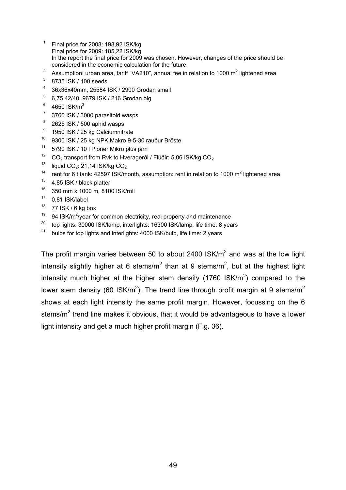- <sup>1</sup> Final price for 2008: 198,92 ISK/kg Final price for 2009: 185,22 ISK/kg In the report the final price for 2009 was chosen. However, changes of the price should be considered in the economic calculation for the future.
- <sup>2</sup> Assumption: urban area, tariff "VA210", annual fee in relation to 1000 m<sup>2</sup> lightened area
- 3 8735 ISK / 100 seeds
- 4 36x36x40mm, 25584 ISK / 2900 Grodan small
- 5 6,75 42/40, 9679 ISK / 216 Grodan big
- 6 4650  $\text{ISK/m}^3$
- 7 3760 ISK / 3000 parasitoid wasps
- 8 2625 ISK / 500 aphid wasps
- 9 1950 ISK / 25 kg Calciumnitrate
- 10 9300 ISK / 25 kg NPK Makro 9-5-30 rauður Bröste
- <sup>11</sup> 5790 ISK / 10 l Pioner Mikro plús járn
- <sup>12</sup> CO<sub>2</sub> transport from Rvk to Hveragerði / Flúðir: 5,06 ISK/kg CO<sub>2</sub><br><sup>13</sup> Linuid CO + 24,44 ISK/kg CO
- liquid  $CO<sub>2</sub>$ : 21,14 ISK/kg  $CO<sub>2</sub>$
- <sup>14</sup> rent for 6 t tank: 42597 ISK/month, assumption: rent in relation to 1000 m<sup>2</sup> lightened area
- <sup>15</sup> 4.85 ISK / black platter
- 16 350 mm x 1000 m, 8100 ISK/roll
- $17$  0.81 ISK/label
- $18$  77 ISK / 6 kg box
- $19$  94 ISK/m<sup>2</sup>/year for common electricity, real property and maintenance
- <sup>20</sup> top lights: 30000 ISK/lamp, interlights: 16300 ISK/lamp, life time: 8 years
- <sup>21</sup> bulbs for top lights and interlights: 4000 ISK/bulb, life time: 2 years

The profit margin varies between 50 to about 2400 ISK/m<sup>2</sup> and was at the low light intensity slightly higher at 6 stems/m<sup>2</sup> than at 9 stems/m<sup>2</sup>, but at the highest light intensity much higher at the higher stem density (1760 ISK/m<sup>2</sup>) compared to the lower stem density (60 ISK/m<sup>2</sup>). The trend line through profit margin at 9 stems/m<sup>2</sup> shows at each light intensity the same profit margin. However, focussing on the 6 stems/m<sup>2</sup> trend line makes it obvious, that it would be advantageous to have a lower light intensity and get a much higher profit margin (Fig. 36).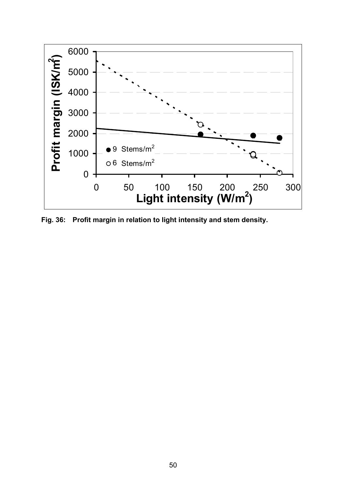

**Fig. 36: Profit margin in relation to light intensity and stem density.**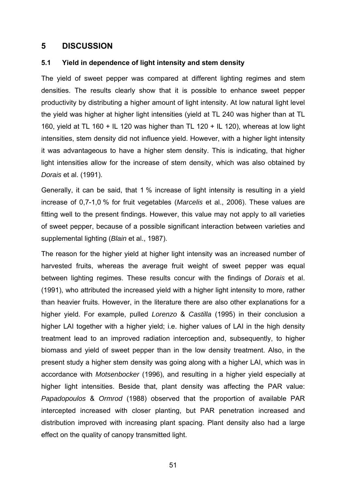# **5 DISCUSSION**

### **5.1 Yield in dependence of light intensity and stem density**

The yield of sweet pepper was compared at different lighting regimes and stem densities. The results clearly show that it is possible to enhance sweet pepper productivity by distributing a higher amount of light intensity. At low natural light level the yield was higher at higher light intensities (yield at TL 240 was higher than at TL 160, yield at TL 160 + IL 120 was higher than TL 120 + IL 120), whereas at low light intensities, stem density did not influence yield. However, with a higher light intensity it was advantageous to have a higher stem density. This is indicating, that higher light intensities allow for the increase of stem density, which was also obtained by *Dorais* et al. (1991).

Generally, it can be said, that 1 % increase of light intensity is resulting in a yield increase of 0,7-1,0 % for fruit vegetables (*Marcelis* et al., 2006). These values are fitting well to the present findings. However, this value may not apply to all varieties of sweet pepper, because of a possible significant interaction between varieties and supplemental lighting (*Blain* et al., 1987).

The reason for the higher yield at higher light intensity was an increased number of harvested fruits, whereas the average fruit weight of sweet pepper was equal between lighting regimes. These results concur with the findings of *Dorais* et al. (1991), who attributed the increased yield with a higher light intensity to more, rather than heavier fruits. However, in the literature there are also other explanations for a higher yield. For example, pulled *Lorenzo* & *Castilla* (1995) in their conclusion a higher LAI together with a higher yield; i.e. higher values of LAI in the high density treatment lead to an improved radiation interception and, subsequently, to higher biomass and yield of sweet pepper than in the low density treatment. Also, in the present study a higher stem density was going along with a higher LAI, which was in accordance with *Motsenbocker* (1996), and resulting in a higher yield especially at higher light intensities. Beside that, plant density was affecting the PAR value: *Papadopoulos* & *Ormrod* (1988) observed that the proportion of available PAR intercepted increased with closer planting, but PAR penetration increased and distribution improved with increasing plant spacing. Plant density also had a large effect on the quality of canopy transmitted light.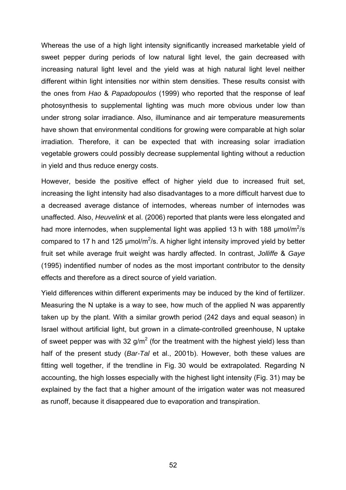Whereas the use of a high light intensity significantly increased marketable yield of sweet pepper during periods of low natural light level, the gain decreased with increasing natural light level and the yield was at high natural light level neither different within light intensities nor within stem densities. These results consist with the ones from *Hao* & *Papadopoulos* (1999) who reported that the response of leaf photosynthesis to supplemental lighting was much more obvious under low than under strong solar irradiance. Also, illuminance and air temperature measurements have shown that environmental conditions for growing were comparable at high solar irradiation. Therefore, it can be expected that with increasing solar irradiation vegetable growers could possibly decrease supplemental lighting without a reduction in yield and thus reduce energy costs.

However, beside the positive effect of higher yield due to increased fruit set, increasing the light intensity had also disadvantages to a more difficult harvest due to a decreased average distance of internodes, whereas number of internodes was unaffected. Also, *Heuvelink* et al. (2006) reported that plants were less elongated and had more internodes, when supplemental light was applied 13 h with 188  $\mu$ mol/m<sup>2</sup>/s compared to 17 h and 125  $\mu$ mol/m<sup>2</sup>/s. A higher light intensity improved yield by better fruit set while average fruit weight was hardly affected. In contrast, *Jolliffe* & *Gaye* (1995) indentified number of nodes as the most important contributor to the density effects and therefore as a direct source of yield variation.

Yield differences within different experiments may be induced by the kind of fertilizer. Measuring the N uptake is a way to see, how much of the applied N was apparently taken up by the plant. With a similar growth period (242 days and equal season) in Israel without artificial light, but grown in a climate-controlled greenhouse, N uptake of sweet pepper was with 32 g/m<sup>2</sup> (for the treatment with the highest yield) less than half of the present study (*Bar-Tal* et al., 2001b). However, both these values are fitting well together, if the trendline in Fig. 30 would be extrapolated. Regarding N accounting, the high losses especially with the highest light intensity (Fig. 31) may be explained by the fact that a higher amount of the irrigation water was not measured as runoff, because it disappeared due to evaporation and transpiration.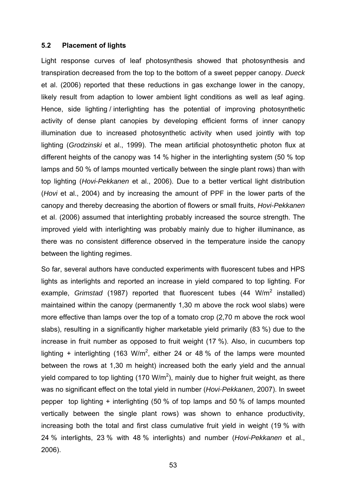#### **5.2 Placement of lights**

Light response curves of leaf photosynthesis showed that photosynthesis and transpiration decreased from the top to the bottom of a sweet pepper canopy. *Dueck* et al. (2006) reported that these reductions in gas exchange lower in the canopy, likely result from adaption to lower ambient light conditions as well as leaf aging. Hence, side lighting / interlighting has the potential of improving photosynthetic activity of dense plant canopies by developing efficient forms of inner canopy illumination due to increased photosynthetic activity when used jointly with top lighting (*Grodzinski* et al., 1999). The mean artificial photosynthetic photon flux at different heights of the canopy was 14 % higher in the interlighting system (50 % top lamps and 50 % of lamps mounted vertically between the single plant rows) than with top lighting (*Hovi-Pekkanen* et al., 2006). Due to a better vertical light distribution (*Hovi* et al., 2004) and by increasing the amount of PPF in the lower parts of the canopy and thereby decreasing the abortion of flowers or small fruits, *Hovi-Pekkanen* et al. (2006) assumed that interlighting probably increased the source strength. The improved yield with interlighting was probably mainly due to higher illuminance, as there was no consistent difference observed in the temperature inside the canopy between the lighting regimes.

So far, several authors have conducted experiments with fluorescent tubes and HPS lights as interlights and reported an increase in yield compared to top lighting. For example, *Grimstad* (1987) reported that fluorescent tubes (44 W/m<sup>2</sup> installed) maintained within the canopy (permanently 1,30 m above the rock wool slabs) were more effective than lamps over the top of a tomato crop (2,70 m above the rock wool slabs), resulting in a significantly higher marketable yield primarily (83 %) due to the increase in fruit number as opposed to fruit weight (17 %). Also, in cucumbers top lighting + interlighting (163 W/m<sup>2</sup>, either 24 or 48 % of the lamps were mounted between the rows at 1,30 m height) increased both the early yield and the annual yield compared to top lighting (170 W/m<sup>2</sup>), mainly due to higher fruit weight, as there was no significant effect on the total yield in number (*Hovi-Pekkanen*, 2007). In sweet pepper top lighting + interlighting (50 % of top lamps and 50 % of lamps mounted vertically between the single plant rows) was shown to enhance productivity, increasing both the total and first class cumulative fruit yield in weight (19 % with 24 % interlights, 23 % with 48 % interlights) and number (*Hovi-Pekkanen* et al., 2006).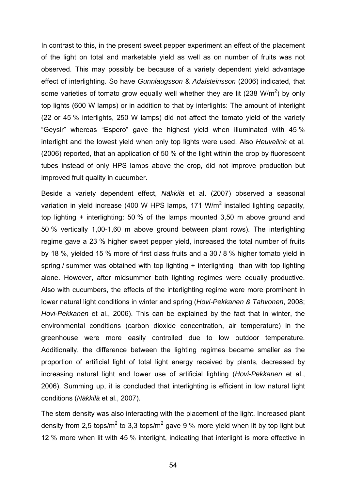In contrast to this, in the present sweet pepper experiment an effect of the placement of the light on total and marketable yield as well as on number of fruits was not observed. This may possibly be because of a variety dependent yield advantage effect of interlighting. So have *Gunnlaugsson* & *Adalsteinsson* (2006) indicated, that some varieties of tomato grow equally well whether they are lit (238 W/m<sup>2</sup>) by only top lights (600 W lamps) or in addition to that by interlights: The amount of interlight (22 or 45 % interlights, 250 W lamps) did not affect the tomato yield of the variety "Geysir" whereas "Espero" gave the highest yield when illuminated with 45 % interlight and the lowest yield when only top lights were used. Also *Heuvelink* et al. (2006) reported, that an application of 50 % of the light within the crop by fluorescent tubes instead of only HPS lamps above the crop, did not improve production but improved fruit quality in cucumber.

Beside a variety dependent effect, *Näkkilä* et al. (2007) observed a seasonal variation in yield increase (400 W HPS lamps, 171 W/m<sup>2</sup> installed lighting capacity, top lighting + interlighting: 50 % of the lamps mounted 3,50 m above ground and 50 % vertically 1,00-1,60 m above ground between plant rows). The interlighting regime gave a 23 % higher sweet pepper yield, increased the total number of fruits by 18 %, yielded 15 % more of first class fruits and a 30 / 8 % higher tomato yield in spring / summer was obtained with top lighting + interlighting than with top lighting alone. However, after midsummer both lighting regimes were equally productive. Also with cucumbers, the effects of the interlighting regime were more prominent in lower natural light conditions in winter and spring (*Hovi-Pekkanen & Tahvonen*, 2008; *Hovi-Pekkanen* et al., 2006). This can be explained by the fact that in winter, the environmental conditions (carbon dioxide concentration, air temperature) in the greenhouse were more easily controlled due to low outdoor temperature. Additionally, the difference between the lighting regimes became smaller as the proportion of artificial light of total light energy received by plants, decreased by increasing natural light and lower use of artificial lighting (*Hovi-Pekkanen* et al., 2006). Summing up, it is concluded that interlighting is efficient in low natural light conditions (*Näkkilä* et al., 2007).

The stem density was also interacting with the placement of the light. Increased plant density from 2,5 tops/m<sup>2</sup> to 3,3 tops/m<sup>2</sup> gave 9 % more yield when lit by top light but 12 % more when lit with 45 % interlight, indicating that interlight is more effective in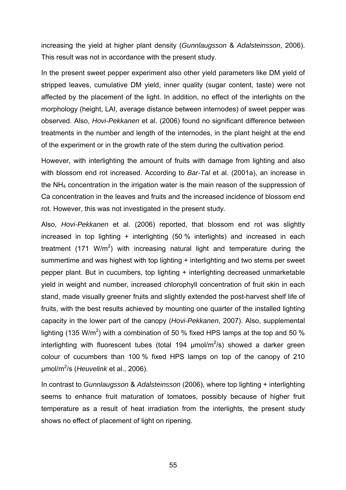increasing the yield at higher plant density (*Gunnlaugsson* & *Adalsteinsson*, 2006). This result was not in accordance with the present study.

In the present sweet pepper experiment also other yield parameters like DM yield of stripped leaves, cumulative DM yield, inner quality (sugar content, taste) were not affected by the placement of the light. In addition, no effect of the interlights on the morphology (height, LAI, average distance between internodes) of sweet pepper was observed. Also, *Hovi-Pekkanen* et al. (2006) found no significant difference between treatments in the number and length of the internodes, in the plant height at the end of the experiment or in the growth rate of the stem during the cultivation period.

However, with interlighting the amount of fruits with damage from lighting and also with blossom end rot increased. According to *Bar-Tal* et al. (2001a), an increase in the NH4 concentration in the irrigation water is the main reason of the suppression of Ca concentration in the leaves and fruits and the increased incidence of blossom end rot. However, this was not investigated in the present study.

Also, *Hovi-Pekkanen* et al. (2006) reported, that blossom end rot was slightly increased in top lighting + interlighting (50 % interlights) and increased in each treatment (171 W/m<sup>2</sup>) with increasing natural light and temperature during the summertime and was highest with top lighting + interlighting and two stems per sweet pepper plant. But in cucumbers, top lighting + interlighting decreased unmarketable yield in weight and number, increased chlorophyll concentration of fruit skin in each stand, made visually greener fruits and slightly extended the post-harvest shelf life of fruits, with the best results achieved by mounting one quarter of the installed lighting capacity in the lower part of the canopy (*Hovi-Pekkanen*, 2007). Also, supplemental lighting (135 W/m<sup>2</sup>) with a combination of 50 % fixed HPS lamps at the top and 50 % interlighting with fluorescent tubes (total 194  $\mu$ mol/m<sup>2</sup>/s) showed a darker green colour of cucumbers than 100 % fixed HPS lamps on top of the canopy of 210 µmol/m<sup>2</sup> /s (*Heuvelink* et al., 2006).

In contrast to *Gunnlaugsson* & *Adalsteinsson* (2006), where top lighting + interlighting seems to enhance fruit maturation of tomatoes, possibly because of higher fruit temperature as a result of heat irradiation from the interlights, the present study shows no effect of placement of light on ripening.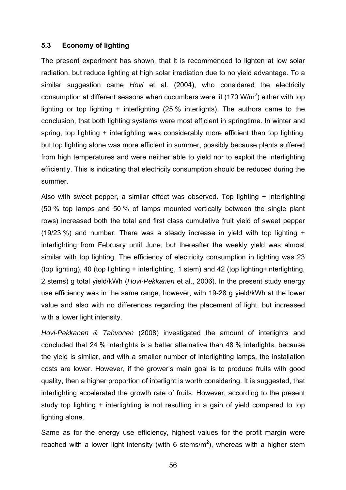### **5.3 Economy of lighting**

The present experiment has shown, that it is recommended to lighten at low solar radiation, but reduce lighting at high solar irradiation due to no yield advantage. To a similar suggestion came *Hovi* et al. (2004), who considered the electricity consumption at different seasons when cucumbers were lit (170 W/m<sup>2</sup>) either with top lighting or top lighting + interlighting (25 % interlights). The authors came to the conclusion, that both lighting systems were most efficient in springtime. In winter and spring, top lighting + interlighting was considerably more efficient than top lighting, but top lighting alone was more efficient in summer, possibly because plants suffered from high temperatures and were neither able to yield nor to exploit the interlighting efficiently. This is indicating that electricity consumption should be reduced during the summer.

Also with sweet pepper, a similar effect was observed. Top lighting + interlighting (50 % top lamps and 50 % of lamps mounted vertically between the single plant rows) increased both the total and first class cumulative fruit yield of sweet pepper (19/23 %) and number. There was a steady increase in yield with top lighting  $+$ interlighting from February until June, but thereafter the weekly yield was almost similar with top lighting. The efficiency of electricity consumption in lighting was 23 (top lighting), 40 (top lighting + interlighting, 1 stem) and 42 (top lighting+interlighting, 2 stems) g total yield/kWh (*Hovi-Pekkanen* et al., 2006). In the present study energy use efficiency was in the same range, however, with 19-28 g yield/kWh at the lower value and also with no differences regarding the placement of light, but increased with a lower light intensity.

*Hovi-Pekkanen & Tahvonen* (2008) investigated the amount of interlights and concluded that 24 % interlights is a better alternative than 48 % interlights, because the yield is similar, and with a smaller number of interlighting lamps, the installation costs are lower. However, if the grower's main goal is to produce fruits with good quality, then a higher proportion of interlight is worth considering. It is suggested, that interlighting accelerated the growth rate of fruits. However, according to the present study top lighting + interlighting is not resulting in a gain of yield compared to top lighting alone.

Same as for the energy use efficiency, highest values for the profit margin were reached with a lower light intensity (with 6 stems/m<sup>2</sup>), whereas with a higher stem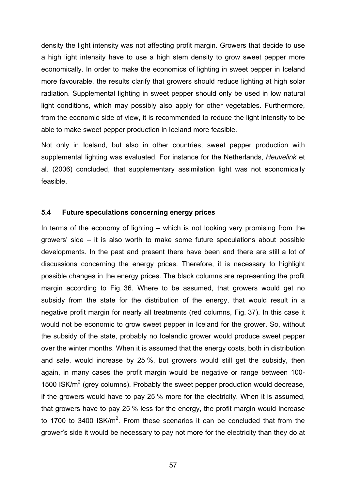density the light intensity was not affecting profit margin. Growers that decide to use a high light intensity have to use a high stem density to grow sweet pepper more economically. In order to make the economics of lighting in sweet pepper in Iceland more favourable, the results clarify that growers should reduce lighting at high solar radiation. Supplemental lighting in sweet pepper should only be used in low natural light conditions, which may possibly also apply for other vegetables. Furthermore, from the economic side of view, it is recommended to reduce the light intensity to be able to make sweet pepper production in Iceland more feasible.

Not only in Iceland, but also in other countries, sweet pepper production with supplemental lighting was evaluated. For instance for the Netherlands, *Heuvelink* et al. (2006) concluded, that supplementary assimilation light was not economically feasible.

#### **5.4 Future speculations concerning energy prices**

In terms of the economy of lighting – which is not looking very promising from the growers' side – it is also worth to make some future speculations about possible developments. In the past and present there have been and there are still a lot of discussions concerning the energy prices. Therefore, it is necessary to highlight possible changes in the energy prices. The black columns are representing the profit margin according to Fig. 36. Where to be assumed, that growers would get no subsidy from the state for the distribution of the energy, that would result in a negative profit margin for nearly all treatments (red columns, Fig. 37). In this case it would not be economic to grow sweet pepper in Iceland for the grower. So, without the subsidy of the state, probably no Icelandic grower would produce sweet pepper over the winter months. When it is assumed that the energy costs, both in distribution and sale, would increase by 25 %, but growers would still get the subsidy, then again, in many cases the profit margin would be negative or range between 100- 1500 ISK/m<sup>2</sup> (grey columns). Probably the sweet pepper production would decrease, if the growers would have to pay 25 % more for the electricity. When it is assumed, that growers have to pay 25 % less for the energy, the profit margin would increase to 1700 to 3400 ISK/m<sup>2</sup>. From these scenarios it can be concluded that from the grower's side it would be necessary to pay not more for the electricity than they do at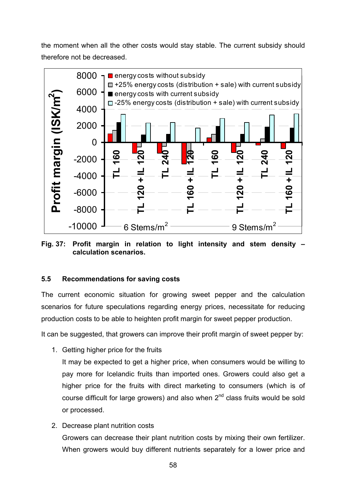the moment when all the other costs would stay stable. The current subsidy should therefore not be decreased.



**Fig. 37: Profit margin in relation to light intensity and stem density – calculation scenarios.** 

# **5.5 Recommendations for saving costs**

The current economic situation for growing sweet pepper and the calculation scenarios for future speculations regarding energy prices, necessitate for reducing production costs to be able to heighten profit margin for sweet pepper production.

It can be suggested, that growers can improve their profit margin of sweet pepper by:

1. Getting higher price for the fruits

It may be expected to get a higher price, when consumers would be willing to pay more for Icelandic fruits than imported ones. Growers could also get a higher price for the fruits with direct marketing to consumers (which is of course difficult for large growers) and also when  $2<sup>nd</sup>$  class fruits would be sold or processed.

2. Decrease plant nutrition costs Growers can decrease their plant nutrition costs by mixing their own fertilizer. When growers would buy different nutrients separately for a lower price and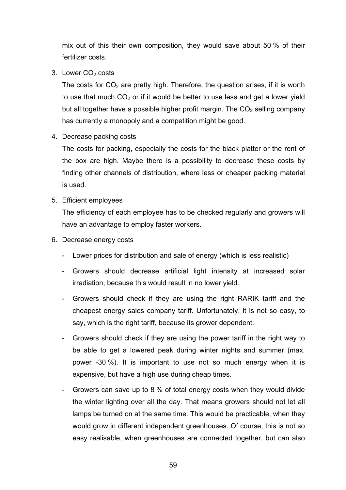mix out of this their own composition, they would save about 50 % of their fertilizer costs.

3. Lower  $CO<sub>2</sub>$  costs

The costs for  $CO<sub>2</sub>$  are pretty high. Therefore, the question arises, if it is worth to use that much  $CO<sub>2</sub>$  or if it would be better to use less and get a lower yield but all together have a possible higher profit margin. The  $CO<sub>2</sub>$  selling company has currently a monopoly and a competition might be good.

4. Decrease packing costs

The costs for packing, especially the costs for the black platter or the rent of the box are high. Maybe there is a possibility to decrease these costs by finding other channels of distribution, where less or cheaper packing material is used.

5. Efficient employees

The efficiency of each employee has to be checked regularly and growers will have an advantage to employ faster workers.

- 6. Decrease energy costs
	- Lower prices for distribution and sale of energy (which is less realistic)
	- Growers should decrease artificial light intensity at increased solar irradiation, because this would result in no lower yield.
	- Growers should check if they are using the right RARIK tariff and the cheapest energy sales company tariff. Unfortunately, it is not so easy, to say, which is the right tariff, because its grower dependent.
	- Growers should check if they are using the power tariff in the right way to be able to get a lowered peak during winter nights and summer (max. power -30 %). It is important to use not so much energy when it is expensive, but have a high use during cheap times.
	- Growers can save up to 8 % of total energy costs when they would divide the winter lighting over all the day. That means growers should not let all lamps be turned on at the same time. This would be practicable, when they would grow in different independent greenhouses. Of course, this is not so easy realisable, when greenhouses are connected together, but can also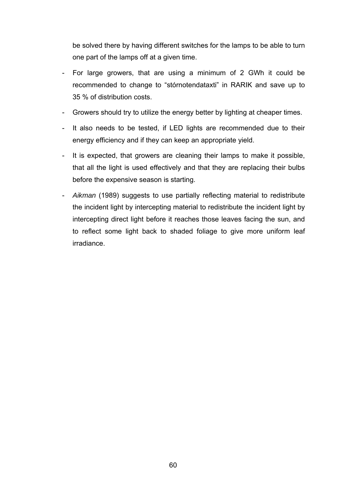be solved there by having different switches for the lamps to be able to turn one part of the lamps off at a given time.

- For large growers, that are using a minimum of 2 GWh it could be recommended to change to "stórnotendataxti" in RARIK and save up to 35 % of distribution costs.
- Growers should try to utilize the energy better by lighting at cheaper times.
- It also needs to be tested, if LED lights are recommended due to their energy efficiency and if they can keep an appropriate yield.
- It is expected, that growers are cleaning their lamps to make it possible, that all the light is used effectively and that they are replacing their bulbs before the expensive season is starting.
- *Aikman* (1989) suggests to use partially reflecting material to redistribute the incident light by intercepting material to redistribute the incident light by intercepting direct light before it reaches those leaves facing the sun, and to reflect some light back to shaded foliage to give more uniform leaf irradiance.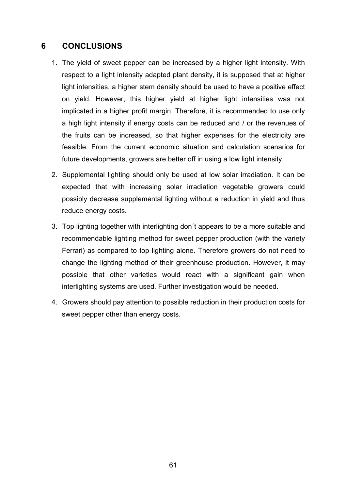# **6 CONCLUSIONS**

- 1. The yield of sweet pepper can be increased by a higher light intensity. With respect to a light intensity adapted plant density, it is supposed that at higher light intensities, a higher stem density should be used to have a positive effect on yield. However, this higher yield at higher light intensities was not implicated in a higher profit margin. Therefore, it is recommended to use only a high light intensity if energy costs can be reduced and / or the revenues of the fruits can be increased, so that higher expenses for the electricity are feasible. From the current economic situation and calculation scenarios for future developments, growers are better off in using a low light intensity.
- 2. Supplemental lighting should only be used at low solar irradiation. It can be expected that with increasing solar irradiation vegetable growers could possibly decrease supplemental lighting without a reduction in yield and thus reduce energy costs.
- 3. Top lighting together with interlighting don´t appears to be a more suitable and recommendable lighting method for sweet pepper production (with the variety Ferrari) as compared to top lighting alone. Therefore growers do not need to change the lighting method of their greenhouse production. However, it may possible that other varieties would react with a significant gain when interlighting systems are used. Further investigation would be needed.
- 4. Growers should pay attention to possible reduction in their production costs for sweet pepper other than energy costs.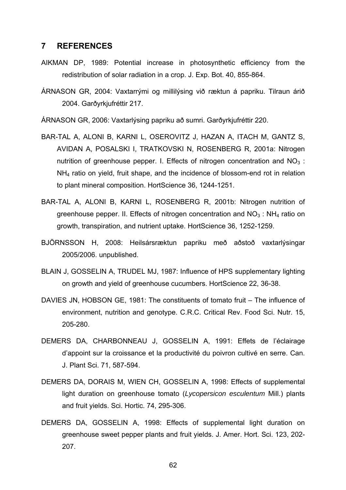# **7 REFERENCES**

- AIKMAN DP, 1989: Potential increase in photosynthetic efficiency from the redistribution of solar radiation in a crop. J. Exp. Bot. 40, 855-864.
- ÁRNASON GR, 2004: Vaxtarrými og millilýsing við ræktun á papriku. Tilraun árið 2004. Garðyrkjufréttir 217.

ÁRNASON GR, 2006: Vaxtarlýsing papriku að sumri. Garðyrkjufréttir 220.

- BAR-TAL A, ALONI B, KARNI L, OSEROVITZ J, HAZAN A, ITACH M, GANTZ S, AVIDAN A, POSALSKI I, TRATKOVSKI N, ROSENBERG R, 2001a: Nitrogen nutrition of greenhouse pepper. I. Effects of nitrogen concentration and  $NO<sub>3</sub>$ : NH4 ratio on yield, fruit shape, and the incidence of blossom-end rot in relation to plant mineral composition. HortScience 36, 1244-1251.
- BAR-TAL A, ALONI B, KARNI L, ROSENBERG R, 2001b: Nitrogen nutrition of greenhouse pepper. II. Effects of nitrogen concentration and  $NO<sub>3</sub>$ : NH<sub>4</sub> ratio on growth, transpiration, and nutrient uptake. HortScience 36, 1252-1259.
- BJÖRNSSON H, 2008: Heilsársræktun papriku með aðstoð vaxtarlýsingar 2005/2006. unpublished.
- BLAIN J, GOSSELIN A, TRUDEL MJ, 1987: Influence of HPS supplementary lighting on growth and yield of greenhouse cucumbers. HortScience 22, 36-38.
- DAVIES JN, HOBSON GE, 1981: The constituents of tomato fruit The influence of environment, nutrition and genotype. C.R.C. Critical Rev. Food Sci. Nutr. 15, 205-280.
- DEMERS DA, CHARBONNEAU J, GOSSELIN A, 1991: Effets de l'éclairage d'appoint sur la croissance et la productivité du poivron cultivé en serre. Can. J. Plant Sci. 71, 587-594.
- DEMERS DA, DORAIS M, WIEN CH, GOSSELIN A, 1998: Effects of supplemental light duration on greenhouse tomato (*Lycopersicon esculentum* Mill.) plants and fruit yields. Sci. Hortic. 74, 295-306.
- DEMERS DA, GOSSELIN A, 1998: Effects of supplemental light duration on greenhouse sweet pepper plants and fruit yields. J. Amer. Hort. Sci. 123, 202- 207.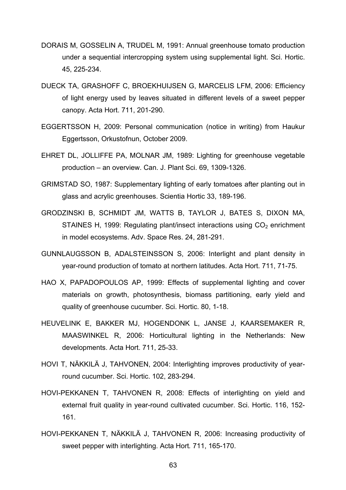- DORAIS M, GOSSELIN A, TRUDEL M, 1991: Annual greenhouse tomato production under a sequential intercropping system using supplemental light. Sci. Hortic. 45, 225-234.
- DUECK TA, GRASHOFF C, BROEKHUIJSEN G, MARCELIS LFM, 2006: Efficiency of light energy used by leaves situated in different levels of a sweet pepper canopy. Acta Hort. 711, 201-290.
- EGGERTSSON H, 2009: Personal communication (notice in writing) from Haukur Eggertsson, Orkustofnun, October 2009.
- EHRET DL, JOLLIFFE PA, MOLNAR JM, 1989: Lighting for greenhouse vegetable production – an overview. Can. J. Plant Sci. 69, 1309-1326.
- GRIMSTAD SO, 1987: Supplementary lighting of early tomatoes after planting out in glass and acrylic greenhouses. Scientia Hortic 33, 189-196.
- GRODZINSKI B, SCHMIDT JM, WATTS B, TAYLOR J, BATES S, DIXON MA, STAINES H, 1999: Regulating plant/insect interactions using  $CO<sub>2</sub>$  enrichment in model ecosystems. Adv. Space Res. 24, 281-291.
- GUNNLAUGSSON B, ADALSTEINSSON S, 2006: Interlight and plant density in year-round production of tomato at northern latitudes. Acta Hort. 711, 71-75.
- HAO X, PAPADOPOULOS AP, 1999: Effects of supplemental lighting and cover materials on growth, photosynthesis, biomass partitioning, early yield and quality of greenhouse cucumber. Sci. Hortic. 80, 1-18.
- HEUVELINK E, BAKKER MJ, HOGENDONK L, JANSE J, KAARSEMAKER R, MAASWINKEL R, 2006: Horticultural lighting in the Netherlands: New developments. Acta Hort. 711, 25-33.
- HOVI T, NÄKKILÄ J, TAHVONEN, 2004: Interlighting improves productivity of yearround cucumber. Sci. Hortic. 102, 283-294.
- HOVI-PEKKANEN T, TAHVONEN R, 2008: Effects of interlighting on yield and external fruit quality in year-round cultivated cucumber. Sci. Hortic. 116, 152- 161.
- HOVI-PEKKANEN T, NÄKKILÄ J, TAHVONEN R, 2006: Increasing productivity of sweet pepper with interlighting. Acta Hort*.* 711, 165-170.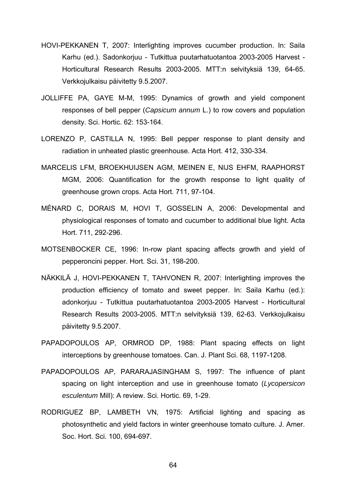- HOVI-PEKKANEN T, 2007: Interlighting improves cucumber production. In: Saila Karhu (ed.). Sadonkorjuu - Tutkittua puutarhatuotantoa 2003-2005 Harvest - Horticultural Research Results 2003-2005. MTT:n selvityksiä 139, 64-65. Verkkojulkaisu päivitetty 9.5.2007.
- JOLLIFFE PA, GAYE M-M, 1995: Dynamics of growth and yield component responses of bell pepper (*Capsicum annum* L.) to row covers and population density. Sci. Hortic. 62: 153-164.
- LORENZO P, CASTILLA N, 1995: Bell pepper response to plant density and radiation in unheated plastic greenhouse. Acta Hort. 412, 330-334.
- MARCELIS LFM, BROEKHUIJSEN AGM, MEINEN E, NIJS EHFM, RAAPHORST MGM, 2006: Quantification for the growth response to light quality of greenhouse grown crops. Acta Hort. 711, 97-104.
- MÉNARD C, DORAIS M, HOVI T, GOSSELIN A, 2006: Developmental and physiological responses of tomato and cucumber to additional blue light. Acta Hort. 711, 292-296.
- MOTSENBOCKER CE, 1996: In-row plant spacing affects growth and yield of pepperoncini pepper. Hort. Sci. 31, 198-200.
- NÄKKILÄ J, HOVI-PEKKANEN T, TAHVONEN R, 2007: Interlighting improves the production efficiency of tomato and sweet pepper. In: Saila Karhu (ed.): adonkorjuu - Tutkittua puutarhatuotantoa 2003-2005 Harvest - Horticultural Research Results 2003-2005. MTT:n selvityksiä 139, 62-63. Verkkojulkaisu päivitetty 9.5.2007.
- PAPADOPOULOS AP, ORMROD DP, 1988: Plant spacing effects on light interceptions by greenhouse tomatoes. Can. J. Plant Sci. 68, 1197-1208.
- PAPADOPOULOS AP, PARARAJASINGHAM S, 1997: The influence of plant spacing on light interception and use in greenhouse tomato (*Lycopersicon esculentum* Mill): A review. Sci. Hortic. 69, 1-29.
- RODRIGUEZ BP, LAMBETH VN, 1975: Artificial lighting and spacing as photosynthetic and yield factors in winter greenhouse tomato culture. J. Amer. Soc. Hort. Sci. 100, 694-697.